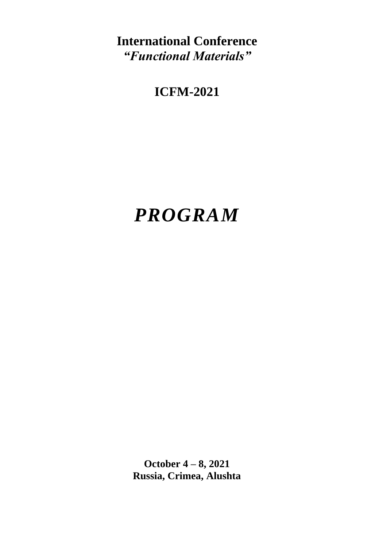**International Conference** *"Functional Materials"*

## **ICFM-2021**

# *PROGRAM*

**October 4 – 8, 2021 Russia, Crimea, Alushta**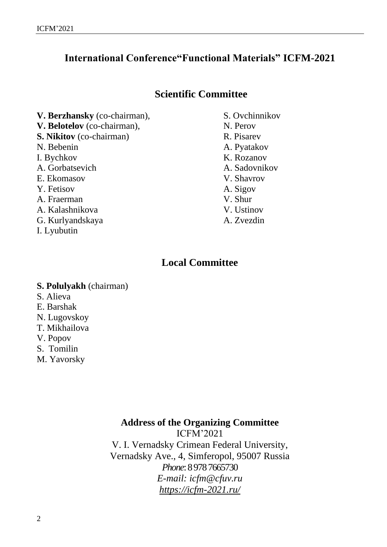### **International Conference"Functional Materials" ICFM-2021**

### **Scientific Committee**

**V. Berzhansky** (co-chairman), **V. Belotelov** (co-chairman), **S. Nikitov** (co-chairman) N. Bebenin I. Bychkov A. Gorbatsevich E. Ekomasov Y. Fetisov A. Fraerman A. Kalashnikova G. Kurlyandskaya

I. Lyubutin

S. Ovchinnikov N. Perov R. Pisarev A. Pyatakov K. Rozanov A. Sadovnikov V. Shavrov A. Sigov V. Shur V. Ustinov A. Zvezdin

### **Local Committee**

### **S. Polulyakh** (chairman)

- S. Alieva
- E. Barshak
- N. Lugovskoy
- T. Mikhailova
- V. Popov
- S. Tomilin
- M. Yavorsky

### **Address of the Organizing Committee**

ICFM'2021 V. I. Vernadsky Crimean Federal University, Vernadsky Ave., 4, Simferopol, 95007 Russia *Phone*: 8 978 7665730 *E-mail: icfm@cfuv.ru https://icfm-2021.ru/*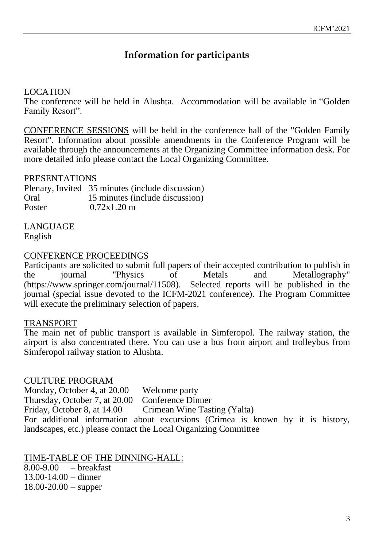### **Information for participants**

### LOCATION

The conference will be held in Alushta. Accommodation will be available in "Golden Family Resort".

CONFERENCE SESSIONS will be held in the conference hall of the "Golden Family Resort". Information about possible amendments in the Conference Program will be available through the announcements at the Organizing Committee information desk. For more detailed info please contact the Local Organizing Committee.

### PRESENTATIONS

Plenary, Invited 35 minutes (include discussion) Oral 15 minutes (include discussion) Poster 0.72x1.20 m

LANGUAGE English

### CONFERENCE PROCEEDINGS

Participants are solicited to submit full papers of their accepted contribution to publish in<br>the iournal "Physics of Metals and Metallography" the journal "Physics of Metals and Metallography" (https://www.springer.com/journal/11508). Selected reports will be published in the journal (special issue devoted to the ICFM-2021 conference). The Program Committee will execute the preliminary selection of papers.

### TRANSPORT

The main net of public transport is available in Simferopol. The railway station, the airport is also concentrated there. You can use a bus from airport and trolleybus from Simferopol railway station to Alushta.

### CULTURE PROGRAM

Monday, October 4, at 20.00 Welcome party Thursday, October 7, at 20.00 Conference Dinner<br>Friday, October 8, at 14.00 Crimean Wine Tast Crimean Wine Tasting (Yalta) For additional information about excursions (Crimea is known by it is history, landscapes, etc.) please contact the Local Organizing Committee

TIME-TABLE OF THE DINNING-HALL: 8.00-9.00 – breakfast 13.00-14.00 – dinner  $18.00 - 20.00 -$ supper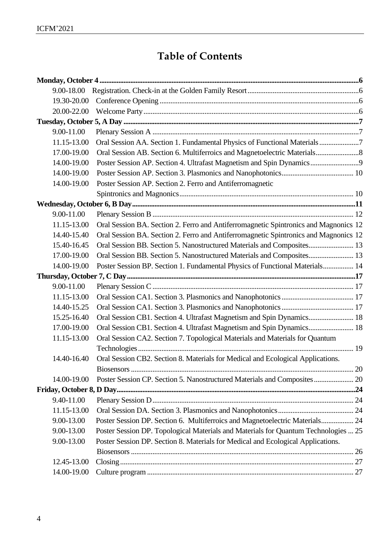### **Table of Contents**

| 9.00-18.00  |                                                                                      |  |
|-------------|--------------------------------------------------------------------------------------|--|
| 19.30-20.00 |                                                                                      |  |
| 20.00-22.00 |                                                                                      |  |
|             |                                                                                      |  |
| 9.00-11.00  |                                                                                      |  |
| 11.15-13.00 | Oral Session AA. Section 1. Fundamental Physics of Functional Materials 7            |  |
| 17.00-19.00 |                                                                                      |  |
| 14.00-19.00 | Poster Session AP. Section 4. Ultrafast Magnetism and Spin Dynamics 9                |  |
| 14.00-19.00 |                                                                                      |  |
| 14.00-19.00 | Poster Session AP. Section 2. Ferro and Antiferromagnetic                            |  |
|             |                                                                                      |  |
|             |                                                                                      |  |
| 9.00-11.00  |                                                                                      |  |
| 11.15-13.00 | Oral Session BA. Section 2. Ferro and Antiferromagnetic Spintronics and Magnonics 12 |  |
| 14.40-15.40 | Oral Session BA. Section 2. Ferro and Antiferromagnetic Spintronics and Magnonics 12 |  |
| 15.40-16.45 | Oral Session BB. Section 5. Nanostructured Materials and Composites 13               |  |
| 17.00-19.00 | Oral Session BB. Section 5. Nanostructured Materials and Composites 13               |  |
| 14.00-19.00 | Poster Session BP. Section 1. Fundamental Physics of Functional Materials 14         |  |
|             |                                                                                      |  |
| 9.00-11.00  |                                                                                      |  |
| 11.15-13.00 |                                                                                      |  |
| 14.40-15.25 |                                                                                      |  |
| 15.25-16.40 | Oral Session CB1. Section 4. Ultrafast Magnetism and Spin Dynamics 18                |  |
| 17.00-19.00 | Oral Session CB1. Section 4. Ultrafast Magnetism and Spin Dynamics 18                |  |
| 11.15-13.00 | Oral Session CA2. Section 7. Topological Materials and Materials for Quantum         |  |
|             |                                                                                      |  |
| 14.40-16.40 | Oral Session CB2. Section 8. Materials for Medical and Ecological Applications.      |  |
|             |                                                                                      |  |
| 14.00-19.00 | Poster Session CP. Section 5. Nanostructured Materials and Composites  20            |  |
|             |                                                                                      |  |
| 9.40-11.00  |                                                                                      |  |
| 11.15-13.00 |                                                                                      |  |
| 9.00-13.00  | Poster Session DP. Section 6. Multiferroics and Magnetoelectric Materials 24         |  |
| 9.00-13.00  | Poster Session DP. Topological Materials and Materials for Quantum Technologies  25  |  |
| 9.00-13.00  | Poster Session DP. Section 8. Materials for Medical and Ecological Applications.     |  |
|             |                                                                                      |  |
| 12.45-13.00 |                                                                                      |  |
| 14.00-19.00 |                                                                                      |  |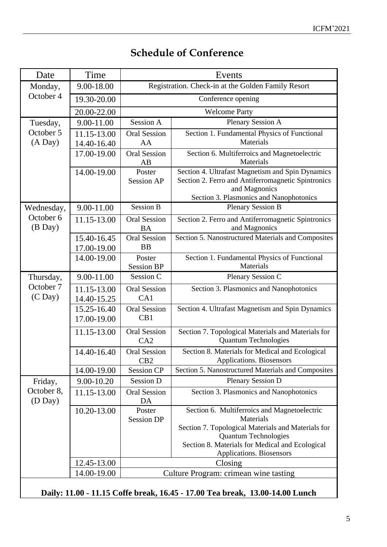### **Schedule of Conference**

| Date                      | Time                       | Events                                             |                                                                                                                                                                    |  |  |  |
|---------------------------|----------------------------|----------------------------------------------------|--------------------------------------------------------------------------------------------------------------------------------------------------------------------|--|--|--|
| Monday,                   | 9.00-18.00                 | Registration. Check-in at the Golden Family Resort |                                                                                                                                                                    |  |  |  |
| October 4                 | 19.30-20.00                | Conference opening                                 |                                                                                                                                                                    |  |  |  |
|                           | 20.00-22.00                |                                                    | <b>Welcome Party</b>                                                                                                                                               |  |  |  |
| Tuesday,                  | 9.00-11.00                 | Session A                                          | Plenary Session A                                                                                                                                                  |  |  |  |
| October 5                 | 11.15-13.00                | <b>Oral Session</b>                                | Section 1. Fundamental Physics of Functional                                                                                                                       |  |  |  |
| (A Day)                   | 14.40-16.40                | AA                                                 | Materials                                                                                                                                                          |  |  |  |
|                           | 17.00-19.00                | <b>Oral Session</b><br>AB                          | Section 6. Multiferroics and Magnetoelectric<br>Materials                                                                                                          |  |  |  |
|                           | 14.00-19.00                | Poster<br><b>Session AP</b>                        | Section 4. Ultrafast Magnetism and Spin Dynamics<br>Section 2. Ferro and Antiferromagnetic Spintronics<br>and Magnonics<br>Section 3. Plasmonics and Nanophotonics |  |  |  |
| Wednesday,                | 9.00-11.00                 | <b>Session B</b>                                   | <b>Plenary Session B</b>                                                                                                                                           |  |  |  |
| October 6<br>$(B$ Day $)$ | 11.15-13.00                | <b>Oral Session</b><br><b>BA</b>                   | Section 2. Ferro and Antiferromagnetic Spintronics<br>and Magnonics                                                                                                |  |  |  |
|                           | 15.40-16.45<br>17.00-19.00 | <b>Oral Session</b><br><b>BB</b>                   | Section 5. Nanostructured Materials and Composites                                                                                                                 |  |  |  |
|                           | 14.00-19.00                | Poster<br><b>Session BP</b>                        | Section 1. Fundamental Physics of Functional<br>Materials                                                                                                          |  |  |  |
| Thursday,                 | 9.00-11.00                 | Session C                                          | Plenary Session C                                                                                                                                                  |  |  |  |
| October 7<br>$(C$ Day $)$ | 11.15-13.00<br>14.40-15.25 | <b>Oral Session</b><br>CA1                         | Section 3. Plasmonics and Nanophotonics                                                                                                                            |  |  |  |
|                           | 15.25-16.40<br>17.00-19.00 | <b>Oral Session</b><br>CB1                         | Section 4. Ultrafast Magnetism and Spin Dynamics                                                                                                                   |  |  |  |
|                           | 11.15-13.00                | <b>Oral Session</b><br>CA2                         | Section 7. Topological Materials and Materials for<br><b>Quantum Technologies</b>                                                                                  |  |  |  |
|                           | 14.40-16.40                | <b>Oral Session</b><br>CB2                         | Section 8. Materials for Medical and Ecological<br>Applications. Biosensors                                                                                        |  |  |  |
|                           | 14.00-19.00                | <b>Session CP</b>                                  | Section 5. Nanostructured Materials and Composites                                                                                                                 |  |  |  |
| Friday,                   | 9.00-10.20                 | <b>Session D</b>                                   | <b>Plenary Session D</b>                                                                                                                                           |  |  |  |
| October 8,<br>(D Day)     | 11.15-13.00                | <b>Oral Session</b><br>DA                          | Section 3. Plasmonics and Nanophotonics                                                                                                                            |  |  |  |
|                           | 10.20-13.00                | Poster<br><b>Session DP</b>                        | Section 6. Multiferroics and Magnetoelectric<br>Materials                                                                                                          |  |  |  |
|                           |                            |                                                    | Section 7. Topological Materials and Materials for<br><b>Quantum Technologies</b><br>Section 8. Materials for Medical and Ecological<br>Applications. Biosensors   |  |  |  |
|                           | 12.45-13.00                |                                                    | Closing                                                                                                                                                            |  |  |  |
|                           | 14.00-19.00                |                                                    | Culture Program: crimean wine tasting                                                                                                                              |  |  |  |
|                           |                            |                                                    | Daily: 11.00 - 11.15 Coffe break, 16.45 - 17.00 Tea break, 13.00-14.00 Lunch                                                                                       |  |  |  |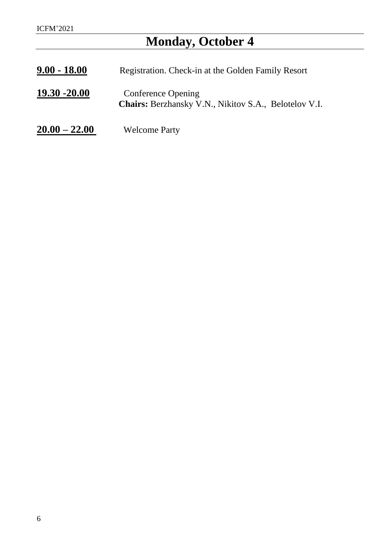## **Monday, October 4**

<span id="page-5-3"></span><span id="page-5-2"></span><span id="page-5-1"></span><span id="page-5-0"></span>

| $9.00 - 18.00$  | Registration. Check-in at the Golden Family Resort                                        |
|-----------------|-------------------------------------------------------------------------------------------|
| $19.30 - 20.00$ | <b>Conference Opening</b><br><b>Chairs:</b> Berzhansky V.N., Nikitov S.A., Belotelov V.I. |
| $20.00 - 22.00$ | <b>Welcome Party</b>                                                                      |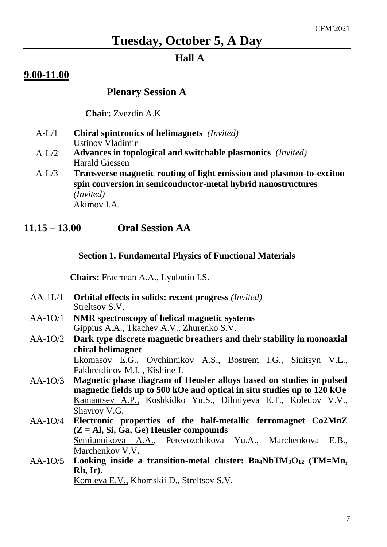### **Tuesday, October 5, A Day**

### **Hall A**

### <span id="page-6-0"></span>**9.00-11.00**

### **Plenary Session A**

 **Chair:** Zvezdin A.K.

- A-L/1 **Chiral spintronics of helimagnets** *(Invited)* Ustinov Vladimir
- A-L/2 **Advances in topological and switchable plasmonics** *(Invited)* Harald Giessen
- A-L/3 **Transverse magnetic routing of light emission and plasmon-to-exciton spin conversion in semiconductor-metal hybrid nanostructures**  *(Invited)* Akimov I.A.

### <span id="page-6-1"></span>**11.15 – 13.00 Oral Session AA**

#### **Section 1. Fundamental Physics of Functional Materials**

**Chairs:** Fraerman А.А., Lyubutin I.S.

- AA-1L/1 **Orbital effects in solids: recent progress** *(Invited)* Streltsov S.V.
- AA-1O/1 **NMR spectroscopy of helical magnetic systems** Gippius A.A., Tkachev A.V., Zhurenko S.V.
- AA-1O/2 **Dark type discrete magnetic breathers and their stability in monoaxial chiral helimagnet** Ekomasov E.G., Ovchinnikov A.S., Bostrem I.G., Sinitsyn V.E., Fakhretdinov M.I. , Kishine J.
- AA-1O/3 **Magnetic phase diagram of Heusler alloys based on studies in pulsed magnetic fields up to 500 kOe and optical in situ studies up to 120 kOe** Kamantsev A.P., Koshkidko Yu.S., Dilmiyeva E.T., Koledov V.V., Shavrov V.G.
- AA-1O/4 **Electronic properties of the half-metallic ferromagnet Co2MnZ (Z = Al, Si, Ga, Ge) Heusler compounds** Semiannikova A.A., Perevozchikova Yu.A., Marchenkova E.B., Marchenkov V.V**.**
- AA-1O/5 **Looking inside a transition-metal cluster: Ba4NbTM3O<sup>12</sup> (TM=Mn, Rh, Ir).**

Komleva E.V., Khomskii D., Streltsov S.V.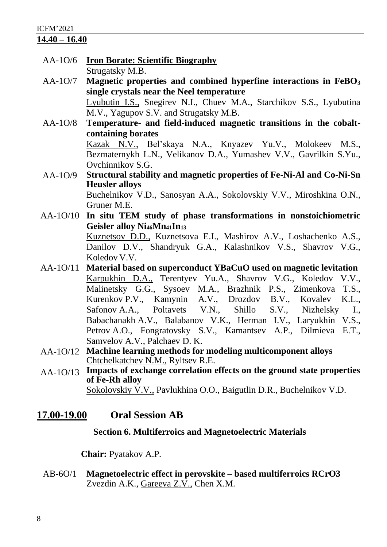#### ICFM'2021

### **14.40 – 16.40**

- AA-1O/6 **Iron Borate: Scientific Biography** Strugatsky M.B.
- AA-1O/7 **Magnetic properties and combined hyperfine interactions in FeBO<sup>3</sup> single crystals near the Neel temperature** Lyubutin I.S., Snegirev N.I., Chuev M.A., Starchikov S.S., Lyubutina M.V., Yagupov S.V. and Strugatsky M.B.
- AA-1O/8 **Temperature- and field-induced magnetic transitions in the cobaltcontaining borates** Kazak N.V., Bel'skaya N.A., Knyazev Yu.V., Molokeev M.S., Bezmaternykh L.N., Velikanov D.A., Yumashev V.V., Gavrilkin S.Yu., Ovchinnikov S.G.
- AA-1O/9 **Structural stability and magnetic properties of Fe-Ni-Al and Co-Ni-Sn Heusler alloys** Buchelnikov V.D., Sanosyan A.A., Sokolovskiy V.V., Miroshkina O.N., Gruner M.E.
- AA-1O/10 **In situ TEM study of phase transformations in nonstoichiometric Geisler alloy Ni46Mn41In<sup>13</sup>** Kuznetsov D.D., Kuznetsova E.I., Mashirov A.V., Loshachenko A.S., Danilov D.V., Shandryuk G.A., Kalashnikov V.S., Shavrov V.G., Koledov V.V.
- AA-1O/11 **Material based on superconduct YBaCuO used on magnetic levitation** Karpukhin D.A., Terentyev Yu.A., Shavrov V.G., Koledov V.V., Malinetsky G.G., Sysoev M.A., Brazhnik P.S., Zimenkova T.S., Kurenkov P.V., Kamynin A.V., Drozdov B.V., Kovalev K.L., Safonov A.A., Poltavets V.N., Shillo S.V., Nizhelsky I., Babachanakh A.V., Balabanov V.K., Herman I.V., Laryukhin V.S., Petrov A.O., Fongratovsky S.V., Kamantsev A.P., Dilmieva E.T., Samvelov A.V., Palchaev D. K.
- AA-1O/12 **Machine learning methods for modeling multicomponent alloys** Chtchelkatchev N.M., Ryltsev R.E.
- AA-1O/13 **Impacts of exchange correlation effects on the ground state properties of Fe-Rh alloy**  Sokolovskiy V.V., Pavlukhina O.O., Baigutlin D.R., Buchelnikov V.D.

### <span id="page-7-0"></span>**17.00-19.00 Oral Session AB**

### **Section 6. Multiferroics and Magnetoelectric Materials**

**Chair:** Pyatakov A.P.

AB-6O/1 **Magnetoelectric effect in perovskite – based multiferroics RCrO3** Zvezdin A.K., Gareeva Z.V., Chen X.M.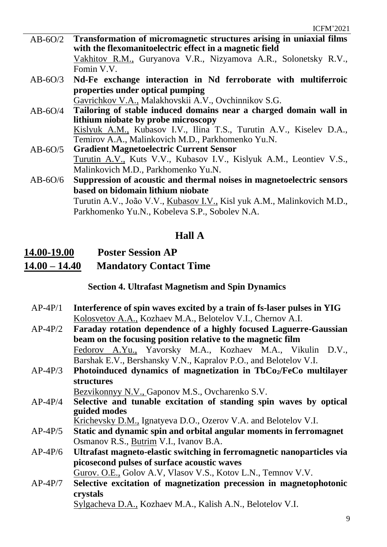- AB-6O/2 **Transformation of micromagnetic structures arising in uniaxial films with the flexomanitoelectric effect in a magnetic field**  Vakhitov R.M., Guryanova V.R., Nizyamova A.R., Solonetsky R.V., Fomin V.V.
- AB-6O/3 **Nd-Fe exchange interaction in Nd ferroborate with multiferroic properties under optical pumping**

Gavrichkov V.A., Malakhovskii A.V., Ovchinnikov S.G.

- AB-6O/4 **Tailoring of stable induced domains near a charged domain wall in lithium niobate by probe microscopy** Kislyuk A.M., Kubasov I.V., Ilina T.S., Turutin A.V., Kiselev D.A., Temirov A.A., Malinkovich M.D., Parkhomenko Yu.N.
- AB-6O/5 **Gradient Magnetoelectric Current Sensor** Turutin A.V., Kuts V.V., Kubasov I.V., Kislyuk A.M., Leontiev V.S., Malinkovich M.D., Parkhomenko Yu.N.
- AB-6O/6 **Suppression of acoustic and thermal noises in magnetoelectric sensors based on bidomain lithium niobate** Turutin A.V., João V.V., Kubasov I.V., Kisl yuk A.M., Malinkovich M.D., Parkhomenko Yu.N., Kobeleva S.P., Sobolev N.A.

### **Hall A**

### <span id="page-8-0"></span>**14.00-19.00 Poster Session AP**

**14.00 – 14.40 Mandatory Contact Time**

**Section 4. Ultrafast Magnetism and Spin Dynamics**

- AP-4P/1 **Interference of spin waves excited by a train of fs-laser pulses in YIG** Kolosvetov A.A., Kozhaev M.A., Belotelov V.I., Chernov A.I.
- AP-4P/2 **Faraday rotation dependence of a highly focused Laguerre-Gaussian beam on the focusing position relative to the magnetic film** Fedorov A.Yu., Yavorsky M.A., Kozhaev M.A., Vikulin D.V., Barshak E.V., Bershansky V.N., Kapralov P.O., and Belotelov V.I.
- AP-4P/3 **Photoinduced dynamics of magnetization in TbCo2/FeCo multilayer structures**

Bezvikonnyy N.V., Gaponov M.S., Ovcharenko S.V.

AP-4P/4 **Selective and tunable excitation of standing spin waves by optical guided modes**

Krichevsky D.M., Ignatyeva D.O., Ozerov V.A. and Belotelov V.I.

- AP-4P/5 **Static and dynamic spin and orbital angular moments in ferromagnet** Osmanov R.S., Butrim V.I., Ivanov B.A.
- AP-4P/6 **Ultrafast magneto-elastic switching in ferromagnetic nanoparticles via picosecond pulses of surface acoustic waves**

Gurov. O.E., Golov A.V, Vlasov V.S., Kotov L.N., Temnov V.V.

AP-4P/7 **Selective excitation of magnetization precession in magnetophotonic crystals**

Sylgacheva D.A., Kozhaev M.A., Kalish A.N., Belotelov V.I.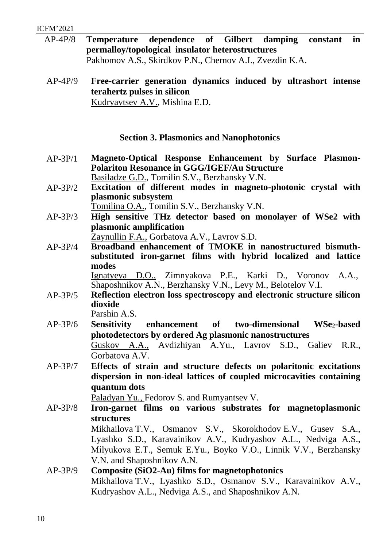- AP-4P/8 **Temperature dependence of Gilbert damping constant in permalloy/topological insulator heterostructures** Pakhomov A.S., Skirdkov P.N., Chernov A.I., Zvezdin K.A.
- <span id="page-9-0"></span>AP-4P/9 **Free-carrier generation dynamics induced by ultrashort intense terahertz pulses in silicon** Kudryavtsev A.V., Mishina E.D.

### **Section 3. Plasmonics and Nanophotonics**

- <span id="page-9-1"></span>AP-3P/1 **Magneto-Optical Response Enhancement by Surface Plasmon-Polariton Resonance in GGG/IGEF/Au Structure** Basiladze G.D., Tomilin S.V., Berzhansky V.N.
- AP-3P/2 **Excitation of different modes in magneto-photonic crystal with plasmonic subsystem**

Tomilina O.A., Tomilin S.V., Berzhansky V.N.

AP-3P/3 **High sensitive THz detector based on monolayer of WSe2 with plasmonic amplification**

Zaynullin F.A., Gorbatova A.V., Lavrov S.D.

AP-3P/4 **Broadband enhancement of TMOKE in nanostructured bismuthsubstituted iron-garnet films with hybrid localized and lattice modes** 

Ignatyeva D.O., Zimnyakova P.E., Karki D., Voronov A.A., Shaposhnikov A.N., Berzhansky V.N., Levy M., Belotelov V.I.

AP-3P/5 **Reflection electron loss spectroscopy and electronic structure silicon dioxide**

Parshin A.S.

- AP-3P/6 **Sensitivity enhancement of two-dimensional WSe2-based photodetectors by ordered Ag plasmonic nanostructures** Guskov A.A., Avdizhiyan A.Yu., Lavrov S.D., Galiev R.R., Gorbatova A.V.
- AP-3P/7 **Effects of strain and structure defects on polaritonic excitations dispersion in non-ideal lattices of coupled microcavities containing quantum dots**

Paladyan Yu., Fedorov S. and Rumyantsev V.

AP-3P/8 **Iron-garnet films on various substrates for magnetoplasmonic structures** Mikhailova T.V., Osmanov S.V., Skorokhodov E.V., Gusev S.A.,

Lyashko S.D., Karavainikov A.V., Kudryashov A.L., Nedviga A.S., Milyukova Е.Т., Semuk E.Yu., Boyko V.O., Linnik V.V., Berzhansky V.N. and Shaposhnikov A.N.

AP-3P/9 **Composite (SiO2-Au) films for magnetophotonics** Mikhailova T.V., Lyashko S.D., Osmanov S.V., Karavainikov A.V., Kudryashov A.L., Nedviga A.S., and Shaposhnikov A.N.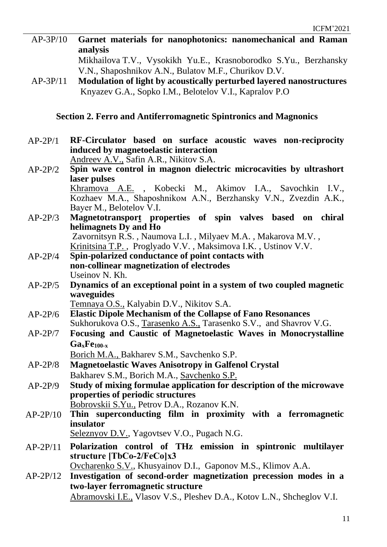|          |  | AP-3P/10 Garnet materials for nanophotonics: nanomechanical and Raman |  |
|----------|--|-----------------------------------------------------------------------|--|
| analysis |  |                                                                       |  |

Mikhailova T.V., Vysokikh Yu.E., Krasnoborodko S.Yu., Berzhansky V.N., Shaposhnikov A.N., Bulatov M.F., Churikov D.V.

AP-3P/11 **Modulation of light by acoustically perturbed layered nanostructures** Knyazev G.A., Sopko I.M., Belotelov V.I., Kapralov P.O

### **Section 2. Ferro and Antiferromagnetic Spintronics and Magnonics**

<span id="page-10-0"></span>AP-2P/1 **RF-Circulator based on surface acoustic waves non-reciprocity induced by magnetoelastic interaction** Andreev A.V., Safin A.R., Nikitov S.A.

AP-2P/2 **Spin wave control in magnon dielectric microcavities by ultrashort laser pulses**  Khramova A.E. , Kobecki M., Akimov I.A., Savochkin I.V.,

Kozhaev M.A., Shaposhnikoм A.N., Berzhansky V.N., Zvezdin A.K., Bayer М., Belotelov V.I.

AP-2P/3 **Magnetotransport properties of spin valves based on chiral helimagnets Dy and Ho** 

Zavornitsyn R.S. , Naumova L.I. , Milyaev M.A. , Makarova M.V. , Krinitsina T.P. , Proglyado V.V. , Maksimova I.K. , Ustinov V.V.

- AP-2P/4 **Spin-polarized conductance of point contacts with non-collinear magnetization of electrodes** Useinov N. Kh.
- AP-2P/5 **Dynamics of an exceptional point in a system of two coupled magnetic waveguides**

Temnaya O.S., Kalyabin D.V., Nikitov S.A.

- AP-2P/6 **Elastic Dipole Mechanism of the Collapse of Fano Resonances** Sukhorukova O.S., Tarasenko A.S., Tarasenko S.V., and Shavrov V.G.
- AP-2P/7 **Focusing and Caustic of Magnetoelastic Waves in Monocrystalline GaxFe100-x**

Borich M.A., Bakharev S.M., Savchenko S.P.

AP-2P/8 **Magnetoelastic Waves Anisotropy in Galfenol Crystal** Bakharev S.M., Borich M.A., Savchenko S.P.

AP-2P/9 **Study of mixing formulae application for description of the microwave properties of periodic structures** Bobrovskii S.Yu., Petrov D.A., Rozanov K.N.

- AP-2P/10 **Thin superconducting film in proximity with a ferromagnetic insulator** 
	- Seleznyov D.V., Yagovtsev V.O., Pugach N.G.
- AP-2P/11 **Polarization control of THz emission in spintronic multilayer structure [TbCo2/FeCo]x3**

Ovcharenko S.V., Khusyainov D.I., Gaponov M.S., Klimov A.A.

AP-2P/12 **Investigation of second-order magnetization precession modes in a two-layer ferromagnetic structure** Abramovski I.E., Vlasov V.S., Pleshev D.A., Kotov L.N., Shcheglov V.I.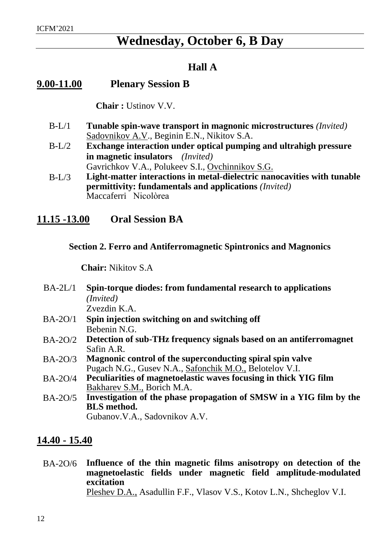### **Wednesday, October 6, B Day**

### **Hall A**

### <span id="page-11-0"></span>**9.00-11.00 Plenary Session B**

 **Chair :** Ustinov V.V.

- B-L/1 **Tunable spin-wave transport in magnonic microstructures** *(Invited)* Sadovnikov A.V., Beginin E.N., Nikitov S.A.
- B-L/2 **Exchange interaction under optical pumping and ultrahigh pressure in magnetic insulators** *(Invited)*  Gavrichkov V.A., Polukeev S.I., Ovchinnikov S.G.
- B-L/3 **Light-matter interactions in metal-dielectric nanocavities with tunable permittivity: fundamentals and applications** *(Invited)* Maccaferri Nicolòrea

### <span id="page-11-1"></span>**11.15 -13.00 Oral Session BA**

### **Section 2. Ferro and Antiferromagnetic Spintronics and Magnonics**

**Chair:** Nikitov S.A

- <span id="page-11-2"></span>BA-2L/1 **Spin-torque diodes: from fundamental research to applications**  *(Invited)* Zvezdin K.A.
- BA-2O/1 **Spin injection switching on and switching off** Bebenin N.G.
- BA-2O/2 **Detection of sub-THz frequency signals based on an antiferromagnet** Safin A.R.
- BA-2O/3 **Magnonic control of the superconducting spiral spin valve** Pugach N.G., Gusev N.A., Safonchik M.O., Belotelov V.I.
- BA-2O/4 **Peculiarities of magnetoelastic waves focusing in thick YIG film** Bakharev S.M., Borich M.A.
- BA-2O/5 **Investigation of the phase propagation of SMSW in a YIG film by the BLS method.**

Gubanov.V.A., Sadovnikov A.V.

### **14.40 - 15.40**

BA-2O/6 **Influence of the thin magnetic films anisotropy on detection of the magnetoelastic fields under magnetic field amplitude-modulated excitation** Pleshev D.A., Asadullin F.F., Vlasov V.S., Kotov L.N., Shcheglov V.I.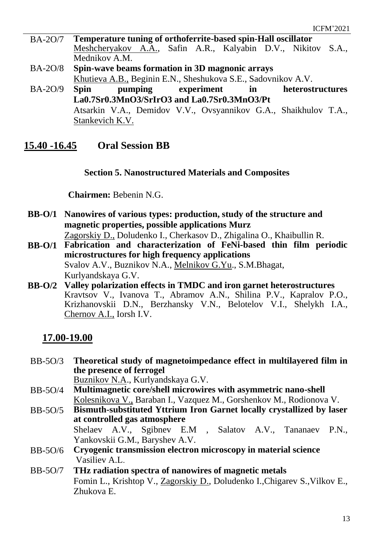- BA-2O/7 **Temperature tuning of orthoferrite-based spin-Hall oscillator** Meshcheryakov A.A., Safin A.R., Kalyabin D.V., Nikitov S.A., Mednikov A.M.
- BA-2O/8 **Spin-wave beams formation in 3D magnonic arrays** Khutieva A.B., Beginin E.N., Sheshukova S.E., Sadovnikov A.V.
- BA-2O/9 **Spin pumping experiment in heterostructures La0.7Sr0.3MnO3/SrIrO3 and La0.7Sr0.3MnO3/Pt** Atsarkin V.A., Demidov V.V., Ovsyannikov G.A., Shaikhulov T.A., Stankevich K.V.

### <span id="page-12-0"></span>**15.40 -16.45 Oral Session BB**

### **Section 5. Nanostructured Materials and Composites**

**Chairmen:** Bebenin N.G.

<span id="page-12-1"></span>**BB-O/1 Nanowires of various types: production, study of the structure and magnetic properties, possible applications Murz**

Zagorskiy D., Doludenko I., Cherkasov D., Zhigalina O., Khaibullin R.

- **BB-O/1 Fabrication and characterization of FeNi-based thin film periodic microstructures for high frequency applications** Svalov A.V., Buznikov N.A., Melnikov G.Yu., S.M.Bhagat, Kurlyandskaya G.V.
- **BB-O/2 Valley polarization effects in TMDC and iron garnet heterostructures** Kravtsov V., Ivanova T., Abramov A.N., Shilina P.V., Kapralov P.O., Krizhanovskii D.N., Berzhansky V.N., Belotelov V.I., Shelykh I.A., Chernov A.I., Iorsh I.V.

### **17.00-19.00**

- BB-5O/3 **Theoretical study of magnetoimpedance effect in multilayered film in the presence of ferrogel** Buznikov N.A., Kurlyandskaya G.V.
- BB-5O/4 **Multimagnetic core/shell microwires with asymmetric nano-shell** Kolesnikova V., Baraban I., Vazquez M., Gorshenkov M., Rodionova V.
- BB-5O/5 **Bismuth-substituted Yttrium Iron Garnet locally crystallized by laser at controlled gas atmosphere** Shelaev A.V., Sgibnev E.M , Salatov A.V., Tananaev P.N.,

Yankovskii G.M., Baryshev A.V. BB-5O/6 **Cryogenic transmission electron microscopy in material science**  Vasiliev A.L.

BB-5O/7 **THz radiation spectra of nanowires of magnetic metals** Fomin L., Krishtop V., Zagorskiy D., Doludenko I.,Chigarev S.,Vilkov E., Zhukova E.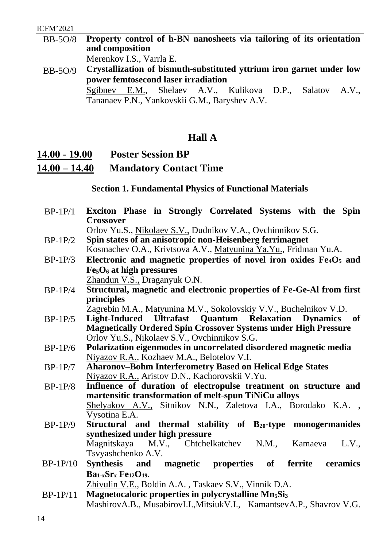BB-5O/8 **Property control of h-BN nanosheets via tailoring of its orientation and composition** 

Merenkov I.S., Varrla E.

BB-5O/9 **Crystallization of bismuth-substituted yttrium iron garnet under low power femtosecond laser irradiation** Sgibnev E.M., Shelaev A.V., Kulikova D.P., Salatov A.V., Tananaev P.N., Yankovskii G.M., Baryshev A.V.

### **Hall A**

### <span id="page-13-0"></span>**14.00 - 19.00 Poster Session BP 14.00 – 14.40 Mandatory Contact Time**

### **Section 1. Fundamental Physics of Functional Materials**

- BP-1P/1 **Exciton Phase in Strongly Correlated Systems with the Spin Crossover** Orlov Yu.S., Nikolaev S.V., Dudnikov V.A., Ovchinnikov S.G.
- BP-1P/2 **Spin states of an anisotropic non-Heisenberg ferrimagnet** Kosmachev O.A., Krivtsova A.V., Matyunina Ya.Yu., Fridman Yu.A.
- BP-1P/3 **Electronic and magnetic properties of novel iron oxides Fe4O<sup>5</sup> and Fe5O<sup>6</sup> at high pressures** Zhandun V.S., Draganyuk O.N.
- BP-1P/4 **Structural, magnetic and electronic properties of Fe-Ge-Al from first principles**

Zagrebin M.A., Matyunina M.V., Sokolovskiy V.V., Buchelnikov V.D.

- BP-1P/5 **Light-Induced Ultrafast Quantum Relaxation Dynamics of Magnetically Ordered Spin Crossover Systems under High Pressure** Orlov Yu.S., Nikolaev S.V., Ovchinnikov S.G.
- BP-1P/6 **Polarization eigenmodes in uncorrelated disordered magnetic media**  Niyazov R.A., Kozhaev M.A., Belotelov V.I.
- BP-1P/7 **Aharonov–Bohm Interferometry Based on Helical Edge States** Niyazov R.A., Aristov D.N., Kachorovskii V.Yu.
- BP-1P/8 **Influence of duration of electropulse treatment on structure and martensitic transformation of melt-spun TiNiCu alloys** Shelyakov A.V., Sitnikov N.N., Zaletova I.A., Borodako K.A. , Vysotina E.A.
- BP-1P/9 **Structural and thermal stability of B20-type monogermanides synthesized under high pressure** Magnitskaya M.V., Chtchelkatchev N.M., Kamaeva L.V., Tsvyashchenko A.V.
- BP-1P/10 **Synthesis and magnetic properties of ferrite ceramics Ba1-xSr<sup>x</sup> Fe12O19**.

Zhivulin V.E., Boldin A.A. , Taskaev S.V., Vinnik D.A.

BP-1P/11 **Magnetocaloric properties in polycrystalline Mn5Si<sup>3</sup>** MashirovA.B., MusabirovI.I.,MitsiukV.I., KamantsevA.P., Shavrov V.G.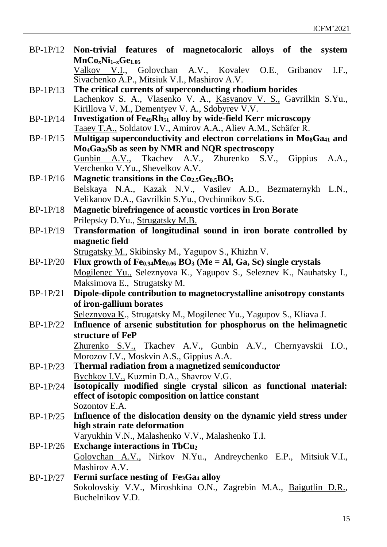| $BP-1P/12$ | Non-trivial features of magnetocaloric alloys of the system                                  |
|------------|----------------------------------------------------------------------------------------------|
|            | $MnCo_xNi_{1-x}Ge_{1.05}$                                                                    |
|            | Valkov V.I., Golovchan A.V., Kovalev O.E. Gribanov I.F.,                                     |
|            | Sivachenko A.P., Mitsiuk V.I., Mashirov A.V.                                                 |
| $BP-1P/13$ | The critical currents of superconducting rhodium borides                                     |
|            | Lachenkov S. A., Vlasenko V. A., Kasyanov V. S., Gavrilkin S.Yu.,                            |
|            | Kirillova V. M., Dementyev V. A., Sdobyrev V.V.                                              |
| $BP-1P/14$ | <b>Investigation of Fe<sub>49</sub>Rh</b> <sub>51</sub> alloy by wide-field Kerr microscopy  |
|            | Taaev T.A., Soldatov I.V., Amirov A.A., Aliev A.M., Schäfer R.                               |
| $BP-1P/15$ | Multigap superconductivity and electron correlations in Mo <sub>8</sub> Ga <sub>41</sub> and |
|            | Mo <sub>4</sub> Ga <sub>20</sub> Sb as seen by NMR and NQR spectroscopy                      |
|            | Gunbin A.V., Tkachev A.V., Zhurenko S.V., Gippius A.A.,                                      |
|            | Verchenko V.Yu., Shevelkov A.V.                                                              |
| $BP-1P/16$ | Magnetic transitions in the Co <sub>2.5</sub> Ge <sub>0.5</sub> BO <sub>5</sub>              |
|            | Belskaya N.A., Kazak N.V., Vasilev A.D., Bezmaternykh L.N.,                                  |
|            | Velikanov D.A., Gavrilkin S.Yu., Ovchinnikov S.G.                                            |
| $BP-1P/18$ | <b>Magnetic birefringence of acoustic vortices in Iron Borate</b>                            |
|            | Prilepsky D.Yu., Strugatsky M.B.                                                             |
| $BP-1P/19$ | Transformation of longitudinal sound in iron borate controlled by                            |
|            | magnetic field                                                                               |
|            | Strugatsky M., Skibinsky M., Yagupov S., Khizhn V.                                           |
| $BP-1P/20$ | Flux growth of $Fe0.94Me0.06 BO3 (Me = Al, Ga, Sc) single crystals$                          |
|            | Mogilenec Yu., Seleznyova K., Yagupov S., Seleznev K., Nauhatsky I.,                         |
|            | Maksimova E., Strugatsky M.                                                                  |
| $BP-1P/21$ | Dipole-dipole contribution to magnetocrystalline anisotropy constants                        |
|            | of iron-gallium borates                                                                      |
|            | Seleznyova K., Strugatsky M., Mogilenec Yu., Yagupov S., Kliava J.                           |
| $BP-1P/22$ | Influence of arsenic substitution for phosphorus on the helimagnetic                         |
|            | structure of FeP                                                                             |
|            | Zhurenko S.V., Tkachev A.V., Gunbin A.V., Chernyavskii I.O.,                                 |
|            | Morozov I.V., Moskvin A.S., Gippius A.A.                                                     |
| $BP-1P/23$ | Thermal radiation from a magnetized semiconductor                                            |
|            | Bychkov I.V., Kuzmin D.A., Shavrov V.G.                                                      |
| $BP-1P/24$ | Isotopically modified single crystal silicon as functional material:                         |
|            | effect of isotopic composition on lattice constant                                           |
|            | Sozontov E.A.                                                                                |
| $BP-1P/25$ | Influence of the dislocation density on the dynamic yield stress under                       |
|            | high strain rate deformation                                                                 |
|            | Varyukhin V.N., Malashenko V.V., Malashenko T.I.                                             |
| $BP-1P/26$ | <b>Exchange interactions in TbCu<sub>2</sub></b>                                             |
|            | Golovchan A.V., Nirkov N.Yu., Andreychenko E.P., Mitsiuk V.I.,                               |
|            | Mashirov A.V.                                                                                |
| $BP-1P/27$ | <b>Fermi surface nesting of Fe3Ga4 alloy</b>                                                 |
|            | Sokolovskiy V.V., Miroshkina O.N., Zagrebin M.A., Baigutlin D.R.,                            |
|            | Buchelnikov V.D.                                                                             |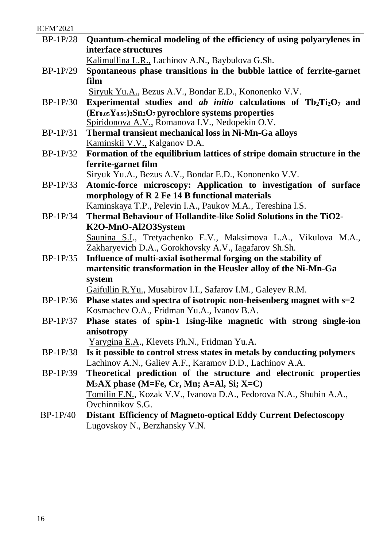| <b>ICFM'2021</b> |                                                                                                                                       |
|------------------|---------------------------------------------------------------------------------------------------------------------------------------|
| $BP-1P/28$       | Quantum-chemical modeling of the efficiency of using polyarylenes in                                                                  |
|                  | interface structures                                                                                                                  |
|                  | Kalimullina L.R., Lachinov A.N., Baybulova G.Sh.                                                                                      |
| $BP-1P/29$       | Spontaneous phase transitions in the bubble lattice of ferrite-garnet                                                                 |
|                  | film                                                                                                                                  |
|                  | Siryuk Yu.A., Bezus A.V., Bondar E.D., Kononenko V.V.                                                                                 |
| $BP-1P/30$       | Experimental studies and <i>ab initio</i> calculations of $Tb_2Ti_2O_7$ and                                                           |
|                  | $(Er0.05Y0.95)2Sn2O7 pyrochlore systems properties$                                                                                   |
|                  | Spiridonova A.V., Romanova I.V., Nedopekin O.V.                                                                                       |
| $BP-1P/31$       | Thermal transient mechanical loss in Ni-Mn-Ga alloys                                                                                  |
|                  | Kaminskii V.V., Kalganov D.A.                                                                                                         |
| $BP-1P/32$       | Formation of the equilibrium lattices of stripe domain structure in the                                                               |
|                  | ferrite-garnet film                                                                                                                   |
|                  | Siryuk Yu.A., Bezus A.V., Bondar E.D., Kononenko V.V.                                                                                 |
| $BP-1P/33$       | Atomic-force microscopy: Application to investigation of surface                                                                      |
|                  | morphology of R 2 Fe 14 B functional materials                                                                                        |
|                  | Kaminskaya T.P., Pelevin I.A., Paukov M.A., Tereshina I.S.                                                                            |
| $BP-1P/34$       | Thermal Behaviour of Hollandite-like Solid Solutions in the TiO2-                                                                     |
|                  | K2O-MnO-Al2O3System                                                                                                                   |
|                  | Saunina S.I., Tretyachenko E.V., Maksimova L.A., Vikulova M.A.,                                                                       |
|                  | Zakharyevich D.A., Gorokhovsky A.V., Iagafarov Sh.Sh.                                                                                 |
| $BP-1P/35$       | Influence of multi-axial isothermal forging on the stability of                                                                       |
|                  | martensitic transformation in the Heusler alloy of the Ni-Mn-Ga                                                                       |
|                  | system                                                                                                                                |
| $BP-1P/36$       | Gaifullin R.Yu., Musabirov I.I., Safarov I.M., Galeyev R.M.<br>Phase states and spectra of isotropic non-heisenberg magnet with $s=2$ |
|                  | Kosmachev O.A., Fridman Yu.A., Ivanov B.A.                                                                                            |
| $BP-1P/37$       | Phase states of spin-1 Ising-like magnetic with strong single-ion                                                                     |
|                  | anisotropy                                                                                                                            |
|                  | Yarygina E.A., Klevets Ph.N., Fridman Yu.A.                                                                                           |
| $BP-1P/38$       | Is it possible to control stress states in metals by conducting polymers                                                              |
|                  | Lachinov A.N., Galiev A.F., Karamov D.D., Lachinov A.A.                                                                               |
| $BP-1P/39$       | Theoretical prediction of the structure and electronic properties                                                                     |
|                  | $M2AX phase (M=Fe, Cr, Mn; A=Al, Si; X=Cl)$                                                                                           |
|                  | <u>Tomilin F.N.</u> , Kozak V.V., Ivanova D.A., Fedorova N.A., Shubin A.A.,                                                           |
|                  | Ovchinnikov S.G.                                                                                                                      |
| $BP-1P/40$       | <b>Distant Efficiency of Magneto-optical Eddy Current Defectoscopy</b>                                                                |
|                  | Lugovskoy N., Berzhansky V.N.                                                                                                         |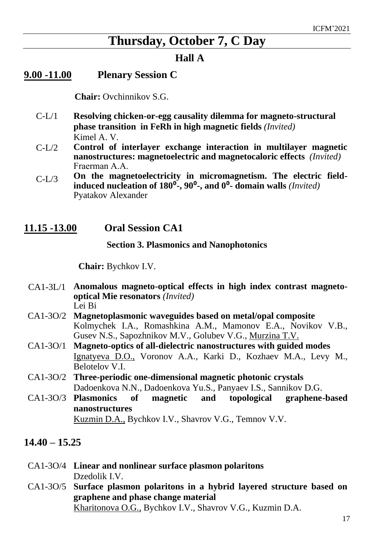### **Thursday, October 7, C Day**

### **Hall A**

### <span id="page-16-1"></span><span id="page-16-0"></span>**9.00 -11.00 Plenary Session C**

 **Chair:** Ovchinnikov S.G.

- C-L/1 **Resolving chicken-or-egg causality dilemma for magneto-structural phase transition in FeRh in high magnetic fields** *(Invited)* Kimel A. V.
- $C-I/2$ **Control of interlayer exchange interaction in multilayer magnetic nanostructures: magnetoelectric and magnetocaloric effects** *(Invited)* Fraerman А.А.
- $C-I/3$ **On the magnetoelectricity in micromagnetism. The electric fieldinduced nucleation of 180**⁰**-, 90**⁰**-, and 0**⁰**- domain walls** *(Invited)* Pyatakov Alexander

### <span id="page-16-2"></span>**11.15 -13.00 Oral Session CA1**

### **Section 3. Plasmonics and Nanophotonics**

 **Chair:** Bychkov I.V.

- CA1-3L/1 **Anomalous magneto-optical effects in high index contrast magnetooptical Mie resonators** *(Invited)* Lei Bi
- CA1-3O/2 **Magnetoplasmonic waveguides based on metal/opal composite** Kolmychek I.A., Romashkina A.M., Mamonov E.A., Novikov V.B., Gusev N.S., Sapozhnikov M.V., Golubev V.G., Murzina T.V.
- CA1-3O/1 **Magneto-optics of all-dielectric nanostructures with guided modes** Ignatyeva D.O., Voronov A.A., Karki D., Kozhaev M.A., Levy M., Belotelov V.I.
- CA1-3O/2 **Three-periodic one-dimensional magnetic photonic crystals** Dadoenkova N.N., Dadoenkova Yu.S., Panyaev I.S., Sannikov D.G.
- CA1-3O/3 **Plasmonics of magnetic and topological graphene-based nanostructures**

Kuzmin D.A., Bychkov I.V., Shavrov V.G., Temnov V.V.

### <span id="page-16-3"></span>**14.40 – 15.25**

- CA1-3O/4 **Linear and nonlinear surface plasmon polaritons** Dzedolik I.V.
- CA1-3O/5 **Surface plasmon polaritons in a hybrid layered structure based on graphene and phase change material** Kharitonova O.G., Bychkov I.V., Shavrov V.G., Kuzmin D.A.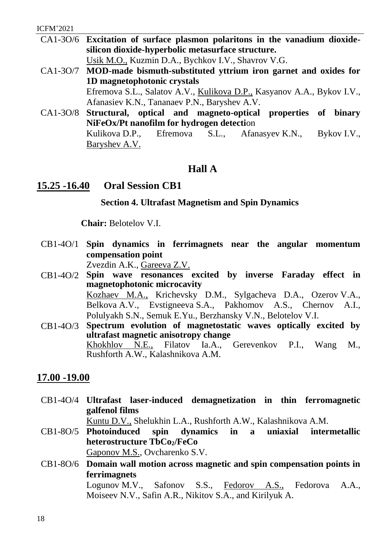- CA1-3O/6 **Excitation of surface plasmon polaritons in the vanadium dioxidesilicon dioxide-hyperbolic metasurface structure.** Usik M.O., Kuzmin D.A., Bychkov I.V., Shavrov V.G.
- CA1-3O/7 **MOD-made bismuth-substituted yttrium iron garnet and oxides for 1D magnetophotonic crystals** Efremova S.L., Salatov A.V., Kulikova D.P., Kasyanov A.A., Bykov I.V., Afanasiev K.N., Tananaev P.N., Baryshev A.V.
- CA1-3O/8 **Structural, optical and magneto-optical properties of binary NiFeOx/Pt nanofilm for hydrogen detecti**on Kulikova D.P., Efremova S.L., Afanasyev K.N., Bykov I.V., Baryshev A.V.

### **Hall A**

### <span id="page-17-0"></span>**15.25 -16.40 Oral Session CB1**

**Section 4. Ultrafast Magnetism and Spin Dynamics**

**Chair:** Belotelov V.I.

- CB1-4O/1 **Spin dynamics in ferrimagnets near the angular momentum compensation point**  Zvezdin A.K., Gareeva Z.V.
- CB1-4O/2 **Spin wave resonances excited by inverse Faraday effect in magnetophotonic microcavity** Kozhaev M.A., Krichevsky D.M., Sylgacheva D.A., Ozerov V.A., Belkova A.V., Evstigneeva S.A., Pakhomov A.S., Chernov A.I., Polulyakh S.N., Semuk E.Yu., Berzhansky V.N., Belotelov V.I.
- CB1-4O/3 **Spectrum evolution of magnetostatic waves optically excited by ultrafast magnetic anisotropy change** Khokhlov N.E., Filatov Ia.A., Gerevenkov P.I., Wang M., Rushforth A.W., Kalashnikova A.M.

### <span id="page-17-1"></span>**17.00 -19.00**

CB1-4O/4 **Ultrafast laser-induced demagnetization in thin ferromagnetic galfenol films**

Kuntu D.V., Shelukhin L.A., Rushforth A.W., Kalashnikova A.M.

- CB1-8O/5 **Photoinduced spin dynamics in a uniaxial intermetallic heterostructure TbCo2/FeCo** Gaponov M.S., Ovcharenko S.V.
- CB1-8O/6 **Domain wall motion across magnetic and spin compensation points in ferrimagnets**

Logunov M.V., Safonov S.S., Fedorov A.S., Fedorovа A.A., Moiseev N.V., Safin A.R., Nikitov S.A., and Kirilyuk A.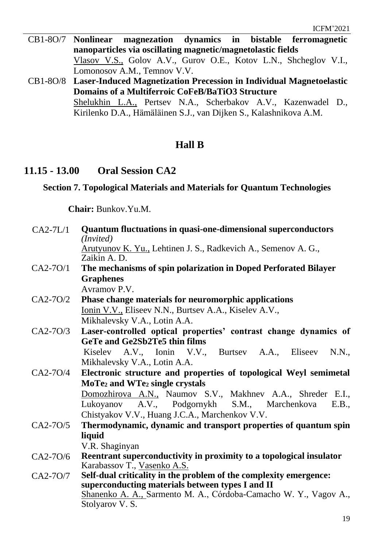- CB1-8O/7 **Nonlinear magnezation dynamics in bistable ferromagnetic nanoparticles via oscillating magnetic/magnetolastic fields** Vlasov V.S., Golov A.V., Gurov O.E., Kotov L.N., Shcheglov V.I., Lomonosov A.M., Temnov V.V.
- CB1-8O/8 **Laser-Induced Magnetization Precession in Individual Magnetoelastic Domains of a Multiferroic CoFeB/BaTiO3 Structure** Shelukhin L.A., Pertsev N.A., Scherbakov A.V., Kazenwadel D., Kirilenko D.A., Hӓmӓlӓinen S.J., van Dijken S., Kalashnikova A.M.

### **Hall B**

### <span id="page-18-0"></span>**11.15 - 13.00 Oral Session CA2**

### **Section 7. Topological Materials and Materials for Quantum Technologies**

**Chair:** Bunkov.Yu.M.

| $CA2-7L/1$ | <b>Quantum fluctuations in quasi-one-dimensional superconductors</b><br>( <i>Invited</i> )                                                    |
|------------|-----------------------------------------------------------------------------------------------------------------------------------------------|
|            | Arutyunov K. Yu., Lehtinen J. S., Radkevich A., Semenov A. G.,<br>Zaikin A. D.                                                                |
| $CA2-70/1$ | The mechanisms of spin polarization in Doped Perforated Bilayer                                                                               |
|            | <b>Graphenes</b>                                                                                                                              |
|            | Avramov P.V.                                                                                                                                  |
| CA2-70/2   | Phase change materials for neuromorphic applications<br>Ionin V.V., Eliseev N.N., Burtsev A.A., Kiselev A.V.,<br>Mikhalevsky V.A., Lotin A.A. |
| $CA2-70/3$ | Laser-controlled optical properties' contrast change dynamics of                                                                              |
|            | GeTe and Ge2Sb2Te5 thin films                                                                                                                 |
|            | Kiselev A.V., Ionin V.V., Burtsev A.A., Eliseev N.N.,                                                                                         |
|            | Mikhalevsky V.A., Lotin A.A.                                                                                                                  |
| $CA2-7O/4$ | Electronic structure and properties of topological Weyl semimetal                                                                             |
|            | MoTe <sub>2</sub> and WTe <sub>2</sub> single crystals                                                                                        |
|            | Domozhirova A.N., Naumov S.V., Makhnev A.A., Shreder E.I.,                                                                                    |
|            | Lukoyanov A.V., Podgornykh S.M., Marchenkova<br>E.B.,                                                                                         |
|            | Chistyakov V.V., Huang J.C.A., Marchenkov V.V.                                                                                                |
| CA2-70/5   | Thermodynamic, dynamic and transport properties of quantum spin                                                                               |
|            | liquid                                                                                                                                        |
|            | V.R. Shaginyan                                                                                                                                |
| CA2-70/6   | Reentrant superconductivity in proximity to a topological insulator                                                                           |
|            | Karabassov T., Vasenko A.S.                                                                                                                   |
| CA2-70/7   | Self-dual criticality in the problem of the complexity emergence:                                                                             |
|            | superconducting materials between types I and II                                                                                              |
|            | Shanenko A. A., Sarmento M. A., Córdoba-Camacho W. Y., Vagov A.,<br>Stolyarov V.S.                                                            |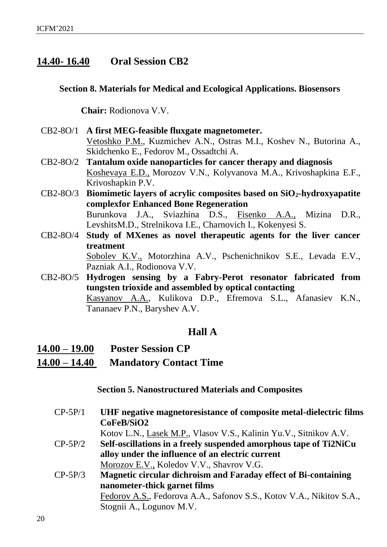### <span id="page-19-0"></span>**14.40- 16.40 Oral Session CB2**

### **Section 8. Materials for Medical and Ecological Applications. Biosensors**

**Chair:** Rodionova V.V.

- CB2-8O/1 **A first MEG-feasible fluxgate magnetometer.** Vetoshko P.M., Kuzmichev A.N., Ostras M.I., Koshev N., Butorina A., Skidchenko E., Fedorov M., Ossadtchi A.
- CB2-8O/2 **Tantalum oxide nanoparticles for cancer therapy and diagnosis** Koshevaya E.D., Morozov V.N., Kolyvanova M.A., Krivoshapkina E.F., Krivoshapkin P.V.
- CB2-8O/3 **Biomimetic layers of acrylic composites based on SiO2-hydroxyapatite complexfor Enhanced Bone Regeneration** Burunkova J.A., Sviazhina D.S., Fisenko A.A., Mizina D.R., LevshitsM.D., Strelnikova I.E., Charnovich I., Kokenyesi S.
- CB2-8O/4 **Study of MXenes as novel therapeutic agents for the liver cancer treatment**  Sobolev K.V., Motorzhina A.V., Pschenichnikov S.E., Levada E.V., Pazniak A.I., Rodionova V.V.
- CB2-8O/5 **Hydrogen sensing by a Fabry-Perot resonator fabricated from tungsten trioxide and assembled by optical contacting** Kasyanov A.A., Kulikova D.P., Efremova S.L., Afanasiev K.N., Tananaev P.N., Baryshev A.V.

### **Hall A**

- <span id="page-19-1"></span>**14.00 – 19.00 Poster Session CP**
- **14.00 – 14.40 Mandatory Contact Time**

**Section 5. Nanostructured Materials and Composites**

CP-5P/1 **UHF negative magnetoresistance of composite metal-dielectric films CoFeB/SiO2** Kotov L.N., Lasek M.P., Vlasov V.S., Kalinin Yu.V., Sitnikov A.V. CP-5P/2 **Self-oscillations in a freely suspended amorphous tape of Ti2NiCu alloy under the influence of an electric current** Morozov E.V., Koledov V.V., Shavrov V.G. CP-5P/3 **Magnetic circular dichroism and Faraday effect of Bi-containing nanometer-thick garnet films**

> Fedorov A.S., Fedorovа A.A., Safonov S.S., Kotov V.A., Nikitov S.A., Stognii A., Logunov M.V.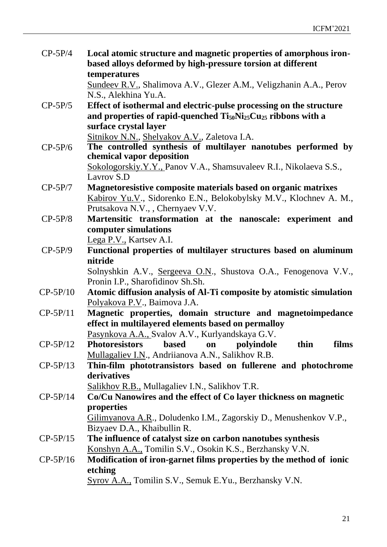| $CP-5P/4$  | Local atomic structure and magnetic properties of amorphous iron-<br>based alloys deformed by high-pressure torsion at different |
|------------|----------------------------------------------------------------------------------------------------------------------------------|
|            | temperatures                                                                                                                     |
|            | Sundeev R.V., Shalimova A.V., Glezer A.M., Veligzhanin A.A., Perov                                                               |
|            | N.S., Alekhina Yu.A.                                                                                                             |
| $CP-5P/5$  | Effect of isothermal and electric-pulse processing on the structure                                                              |
|            | and properties of rapid-quenched Ti <sub>50</sub> Ni <sub>25</sub> Cu <sub>25</sub> ribbons with a                               |
|            | surface crystal layer                                                                                                            |
|            | Sitnikov N.N., Shelyakov A.V., Zaletova I.A.                                                                                     |
| $CP-5P/6$  | The controlled synthesis of multilayer nanotubes performed by                                                                    |
|            | chemical vapor deposition                                                                                                        |
|            | Sokologorskiy.Y.Y., Panov V.A., Shamsuvaleev R.I., Nikolaeva S.S.,                                                               |
|            | Lavrov S.D                                                                                                                       |
| $CP-5P/7$  | Magnetoresistive composite materials based on organic matrixes                                                                   |
|            | Kabirov Yu.V., Sidorenko E.N., Belokobylsky M.V., Klochnev A. M.,                                                                |
|            | Prutsakova N.V., , Chernyaev V.V.                                                                                                |
| $CP-5P/8$  | Martensitic transformation at the nanoscale: experiment and                                                                      |
|            | computer simulations                                                                                                             |
|            | Lega P.V., Kartsev A.I.                                                                                                          |
| $CP-5P/9$  | Functional properties of multilayer structures based on aluminum                                                                 |
|            | nitride                                                                                                                          |
|            | Solnyshkin A.V., Sergeeva O.N., Shustova O.A., Fenogenova V.V.,                                                                  |
|            | Pronin I.P., Sharofidinov Sh.Sh.                                                                                                 |
| $CP-5P/10$ | Atomic diffusion analysis of Al-Ti composite by atomistic simulation                                                             |
|            | Polyakova P.V., Baimova J.A.                                                                                                     |
| $CP-5P/11$ | Magnetic properties, domain structure and magnetoimpedance                                                                       |
|            | effect in multilayered elements based on permalloy                                                                               |
|            | Pasynkova A.A., Svalov A.V., Kurlyandskaya G.V.                                                                                  |
| $CP-5P/12$ | films<br><b>Photoresistors</b><br><b>based</b><br>thin<br>polyindole<br>on                                                       |
|            | Mullagaliev I.N., Andriianova A.N., Salikhov R.B.                                                                                |
| $CP-5P/13$ | Thin-film phototransistors based on fullerene and photochrome                                                                    |
|            | derivatives                                                                                                                      |
|            | Salikhov R.B., Mullagaliev I.N., Salikhov T.R.                                                                                   |
| $CP-5P/14$ | Co/Cu Nanowires and the effect of Co layer thickness on magnetic                                                                 |
|            | properties                                                                                                                       |
|            | Gilimyanova A.R., Doludenko I.M., Zagorskiy D., Menushenkov V.P.,                                                                |
|            |                                                                                                                                  |
|            | Bizyaev D.A., Khaibullin R.                                                                                                      |
| $CP-5P/15$ | The influence of catalyst size on carbon nanotubes synthesis                                                                     |
|            | Konshyn A.A., Tomilin S.V., Osokin K.S., Berzhansky V.N.                                                                         |
| $CP-5P/16$ | Modification of iron-garnet films properties by the method of ionic                                                              |
|            | etching                                                                                                                          |
|            | Syrov A.A., Tomilin S.V., Semuk E.Yu., Berzhansky V.N.                                                                           |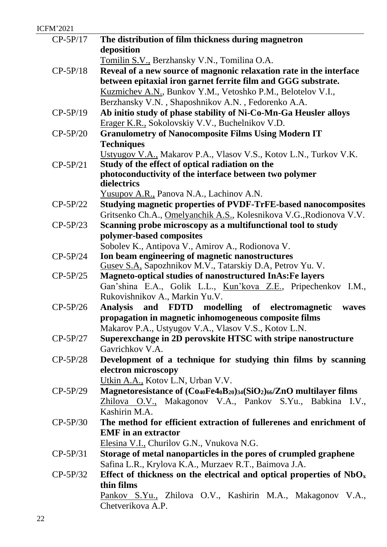| <b>ICFM'2021</b> |                                                                                                     |
|------------------|-----------------------------------------------------------------------------------------------------|
| $CP-5P/17$       | The distribution of film thickness during magnetron                                                 |
|                  | deposition                                                                                          |
|                  | Tomilin S.V., Berzhansky V.N., Tomilina O.A.                                                        |
| $CP-5P/18$       | Reveal of a new source of magnonic relaxation rate in the interface                                 |
|                  | between epitaxial iron garnet ferrite film and GGG substrate.                                       |
|                  | Kuzmichev A.N., Bunkov Y.M., Vetoshko P.M., Belotelov V.I.,                                         |
|                  | Berzhansky V.N., Shaposhnikov A.N., Fedorenko A.A.                                                  |
| $CP-5P/19$       | Ab initio study of phase stability of Ni-Co-Mn-Ga Heusler alloys                                    |
|                  | Erager K.R., Sokolovskiy V.V., Buchelnikov V.D.                                                     |
| $CP-5P/20$       | <b>Granulometry of Nanocomposite Films Using Modern IT</b>                                          |
|                  | <b>Techniques</b>                                                                                   |
|                  | Ustyugov V.A., Makarov P.A., Vlasov V.S., Kotov L.N., Turkov V.K.                                   |
| $CP-5P/21$       | Study of the effect of optical radiation on the                                                     |
|                  | photoconductivity of the interface between two polymer                                              |
|                  | dielectrics                                                                                         |
|                  | Yusupov A.R., Panova N.A., Lachinov A.N.                                                            |
| $CP-5P/22$       | <b>Studying magnetic properties of PVDF-TrFE-based nanocomposites</b>                               |
|                  | Gritsenko Ch.A., Omelyanchik A.S., Kolesnikova V.G., Rodionova V.V.                                 |
| $CP-5P/23$       | Scanning probe microscopy as a multifunctional tool to study                                        |
|                  | polymer-based composites                                                                            |
|                  | Sobolev K., Antipova V., Amirov A., Rodionova V.<br>Ion beam engineering of magnetic nanostructures |
| $CP-5P/24$       | Gusev S.A. Sapozhnikov M.V., Tatarskiy D.A, Petrov Yu. V.                                           |
| $CP-5P/25$       | <b>Magneto-optical studies of nanostructured InAs: Fe layers</b>                                    |
|                  | Gan'shina E.A., Golik L.L., Kun'kova Z.E., Pripechenkov I.M.,                                       |
|                  | Rukovishnikov A., Markin Yu.V.                                                                      |
| $CP-5P/26$       | <b>Analysis</b><br>and FDTD modelling of electromagnetic<br>waves                                   |
|                  | propagation in magnetic inhomogeneous composite films                                               |
|                  | Makarov P.A., Ustyugov V.A., Vlasov V.S., Kotov L.N.                                                |
| $CP-5P/27$       | Superexchange in 2D perovskite HTSC with stripe nanostructure                                       |
|                  | Gavrichkov V.A.                                                                                     |
| $CP-5P/28$       | Development of a technique for studying thin films by scanning                                      |
|                  | electron microscopy                                                                                 |
|                  | Utkin A.A., Kotov L.N, Urban V.V.                                                                   |
| $CP-5P/29$       | Magnetoresistance of $(Co_{40}Fe4_0B_{20})_{34}(SiO_2)_{66}/ZnO$ multilayer films                   |
|                  | Zhilova O.V., Makagonov V.A., Pankov S.Yu., Babkina I.V.,                                           |
|                  | Kashirin M.A.                                                                                       |
| $CP-5P/30$       | The method for efficient extraction of fullerenes and enrichment of                                 |
|                  | <b>EMF</b> in an extractor                                                                          |
|                  | Elesina V.I., Churilov G.N., Vnukova N.G.                                                           |
| $CP-5P/31$       | Storage of metal nanoparticles in the pores of crumpled graphene                                    |
|                  | Safina L.R., Krylova K.A., Murzaev R.T., Baimova J.A.                                               |
| $CP-5P/32$       | Effect of thickness on the electrical and optical properties of $NbOx$                              |
|                  | thin films                                                                                          |
|                  | Pankov S.Yu., Zhilova O.V., Kashirin M.A., Makagonov V.A.,                                          |
|                  | Chetverikova A.P.                                                                                   |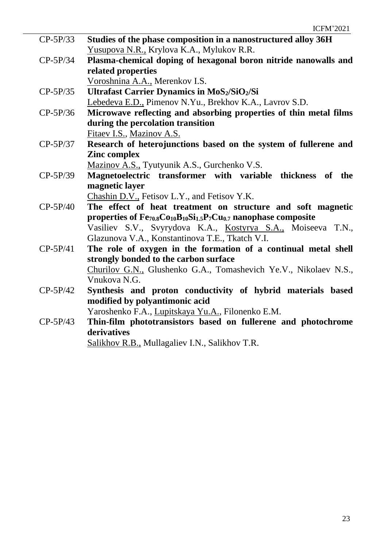| $CP-5P/33$ | Studies of the phase composition in a nanostructured alloy 36H                |
|------------|-------------------------------------------------------------------------------|
|            | Yusupova N.R., Krylova K.A., Mylukov R.R.                                     |
| $CP-5P/34$ |                                                                               |
|            | Plasma-chemical doping of hexagonal boron nitride nanowalls and               |
|            | related properties                                                            |
|            | Voroshnina A.A., Merenkov I.S.                                                |
| $CP-5P/35$ | <b>Ultrafast Carrier Dynamics in MoS2/SiO2/Si</b>                             |
|            | Lebedeva E.D., Pimenov N.Yu., Brekhov K.A., Lavrov S.D.                       |
| $CP-5P/36$ | Microwave reflecting and absorbing properties of thin metal films             |
|            | during the percolation transition                                             |
|            | Fitaev I.S., Mazinov A.S.                                                     |
| $CP-5P/37$ | Research of heterojunctions based on the system of fullerene and              |
|            | <b>Zinc complex</b>                                                           |
|            | Mazinov A.S., Tyutyunik A.S., Gurchenko V.S.                                  |
| $CP-5P/39$ | Magnetoelectric transformer with variable thickness of<br>the                 |
|            | magnetic layer                                                                |
|            | Chashin D.V., Fetisov L.Y., and Fetisov Y.K.                                  |
| $CP-5P/40$ | The effect of heat treatment on structure and soft magnetic                   |
|            | properties of $Fe_{70.8}Co_{10}B_{10}Si_{1.5}P_7Cu_{0.7}$ nanophase composite |
|            | Vasiliev S.V., Svyrydova K.A., Kostyrya S.A., Moiseeva T.N.,                  |
|            | Glazunova V.A., Konstantinova T.E., Tkatch V.I.                               |
| $CP-5P/41$ | The role of oxygen in the formation of a continual metal shell                |
|            | strongly bonded to the carbon surface                                         |
|            | Churilov G.N., Glushenko G.A., Tomashevich Ye.V., Nikolaev N.S.,              |
|            | Vnukova N.G.                                                                  |
| $CP-5P/42$ | Synthesis and proton conductivity of hybrid materials based                   |
|            | modified by polyantimonic acid                                                |
|            | Yaroshenko F.A., Lupitskaya Yu.A., Filonenko E.M.                             |
| $CP-5P/43$ | Thin-film phototransistors based on fullerene and photochrome                 |
|            | derivatives                                                                   |
|            | Salikhov R.B., Mullagaliev I.N., Salikhov T.R.                                |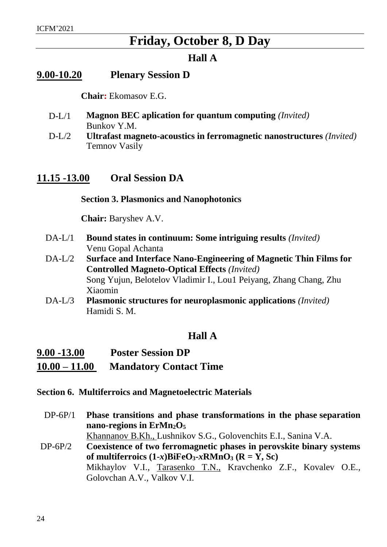### **Friday, October 8, D Day**

### **Hall A**

### <span id="page-23-1"></span><span id="page-23-0"></span>**9.00-10.20 Plenary Session D**

**Chair:** Ekomasov E.G.

- D-L/1 **Magnon BEC aplication for quantum computing** *(Invited)* Bunkov Y.M.
- D-L/2 **Ultrafast magneto-acoustics in ferromagnetic nanostructures** *(Invited)* Temnov Vasily

### <span id="page-23-2"></span>**11.15 -13.00 Oral Session DA**

**Section 3. Plasmonics and Nanophotonics**

**Chair:** Baryshev A.V.

- DA-L/1 **Bound states in continuum: Some intriguing results** *(Invited)* Venu Gopal Achanta
- DA-L/2 **Surface and Interface Nano-Engineering of Magnetic Thin Films for Controlled Magneto-Optical Effects** *(Invited)* Song Yujun, Belotelov Vladimir I., Lou1 Peiyang, Zhang Chang, Zhu Xiaomin
- DA-L/3 **Plasmonic structures for neuroplasmonic applications** *(Invited)* Hamidi S. M.

### **Hall A**

| $9.00 - 13.00$  | <b>Poster Session DP</b>      |  |  |
|-----------------|-------------------------------|--|--|
| $10.00 - 11.00$ | <b>Mandatory Contact Time</b> |  |  |

- <span id="page-23-3"></span>**Section 6. Multiferroics and Magnetoelectric Materials**
	- DP-6P/1 **Phase transitions and phase transformations in the phase separation nano-regions in ErMn2O<sup>5</sup>**

Khannanov B.Kh., Lushnikov S.G., Golovenchits E.I., Sanina V.A.

DP-6P/2 **Coexistence of two ferromagnetic phases in perovskite binary systems of multiferroics**  $(1-x)B$ **<b>iFeO**<sub>3</sub>**-***x***RMnO**<sub>3</sub> ( $R = Y$ , Sc) Mikhaylov V.I., Tarasenko T.N., Kravchenko Z.F., Kovalev O.E., Golovchan A.V., Valkov V.I.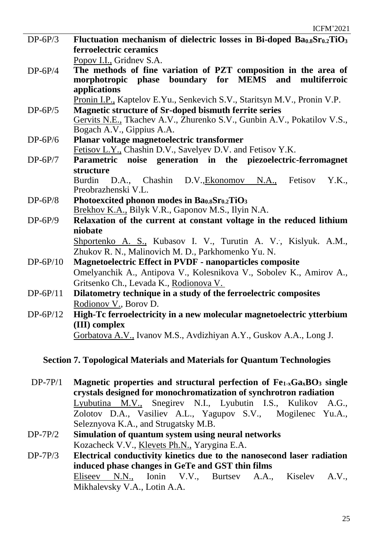- DP-6P/3 **Fluctuation mechanism of dielectric losses in Bi-doped Ba0.8Sr0.2TiO<sup>3</sup> ferroelectric ceramics** Popov I.I., Gridnev S.A.
- DP-6P/4 **The methods of fine variation of PZT composition in the area of morphotropic phase boundary for MEMS and multiferroic applications**

Pronin I.P., Kaptelov E.Yu., Senkevich S.V., Staritsyn M.V., Pronin V.P.

- DP-6P/5 **Magnetic structure of Sr-doped bismuth ferrite series** Gervits N.E., Tkachev A.V., Zhurenko S.V., Gunbin A.V., Pokatilov V.S., Bogach A.V., Gippius A.A.
- DP-6P/6 **Planar voltage magnetoelectric transformer** Fetisov L.Y., Chashin D.V., Savelyev D.V. and Fetisov Y.K.
- DP-6P/7 **Parametric noise generation in the piezoelectric-ferromagnet structure** Burdin D.A., Chashin D.V.,Ekonomov N.A., Fetisov Y.K.,
- Preobrazhenski V.L. DP-6P/8 **Photoexcited phonon modes in Ba0.8Sr0.2TiO<sup>3</sup>** Brekhov K.A., Bilyk V.R., Gaponov M.S., Ilyin N.A.
- DP-6P/9 **Relaxation of the current at constant voltage in the reduced lithium niobate**

Shportenko A. S., Kubasov I. V., Turutin A. V., Kislyuk. A.M., Zhukov R. N., Malinovich M. D., Parkhomenko Yu. N.

- DP-6P/10 **Magnetoelectric Effect in PVDF - nanoparticles composite** Omelyanchik A., Antipova V., Kolesnikova V., Sobolev K., Amirov A., Gritsenko Ch., Levada K., Rodionova V.
- DP-6P/11 **Dilatometry technique in a study of the ferroelectric composites** Rodionov V., Borov D.
- DP-6P/12 **High-Tc ferroelectricity in a new molecular magnetoelectric ytterbium (III) complex** Gorbatova A.V., Ivanov M.S., Avdizhiyan A.Y., Guskov A.A., Long J.

### <span id="page-24-0"></span>**Section 7. Topological Materials and Materials for Quantum Technologies**

- DP-7P/1 **Magnetic properties and structural perfection of Fe1-xGaxBO<sup>3</sup> single crystals designed for monochromatization of synchrotron radiation** Lyubutina M.V., Snegirev N.I., Lyubutin I.S., Kulikov A.G., Zolotov D.A., Vasiliev A.L., Yagupov S.V., Mogilenec Yu.A., Seleznyova K.A., and Strugatsky M.B.
- DP-7P/2 **Simulation of quantum system using neural networks** Kozacheck V.V., Klevets Ph.N., Yarygina E.A.
- DP-7P/3 **Electrical conductivity kinetics due to the nanosecond laser radiation induced phase changes in GeTe and GST thin films** Eliseev N.N., Ionin V.V., Burtsev A.A., Kiselev A.V., Mikhalevsky V.A., Lotin A.A.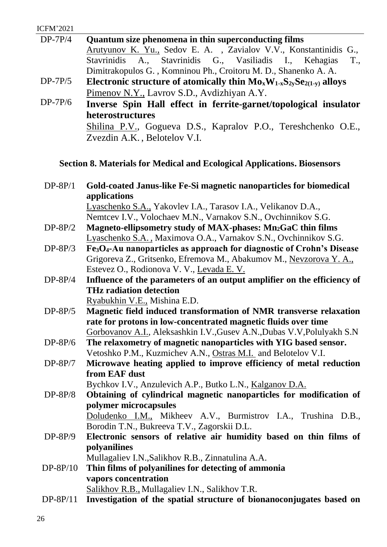| <b>ICFM'2021</b> |                                                                               |
|------------------|-------------------------------------------------------------------------------|
| $DP-7P/4$        | Quantum size phenomena in thin superconducting films                          |
|                  | Arutyunov K. Yu., Sedov E. A., Zavialov V.V., Konstantinidis G.,              |
|                  | Stavrinidis A., Stavrinidis G., Vasiliadis I., Kehagias<br>T.,                |
|                  | Dimitrakopulos G., Komninou Ph., Croitoru M. D., Shanenko A. A.               |
| $DP-7P/5$        | Electronic structure of atomically thin $Mo_xW_{1-x}S_{2v}Se_{2(1-v)}$ alloys |
|                  | Pimenov N.Y., Lavrov S.D., Avdizhiyan A.Y.                                    |
| $DP-7P/6$        | Inverse Spin Hall effect in ferrite-garnet/topological insulator              |
|                  | heterostructures                                                              |
|                  | Shilina P.V., Gogueva D.S., Kapralov P.O., Tereshchenko O.E.,                 |
|                  | Zvezdin A.K., Belotelov V.I.                                                  |

### <span id="page-25-0"></span>**Section 8. Materials for Medical and Ecological Applications. Biosensors**

| $DP-8P/1$                                                      | Gold-coated Janus-like Fe-Si magnetic nanoparticles for biomedical<br>applications             |  |
|----------------------------------------------------------------|------------------------------------------------------------------------------------------------|--|
|                                                                | Lyaschenko S.A., Yakovlev I.A., Tarasov I.A., Velikanov D.A.,                                  |  |
|                                                                | Nemtcev I.V., Volochaev M.N., Varnakov S.N., Ovchinnikov S.G.                                  |  |
| $DP-8P/2$                                                      | Magneto-ellipsometry study of MAX-phases: Mn <sub>2</sub> GaC thin films                       |  |
|                                                                | Lyaschenko S.A., Maximova O.A., Varnakov S.N., Ovchinnikov S.G.                                |  |
| $DP-8P/3$                                                      | Fe <sub>3</sub> O <sub>4</sub> -Au nanoparticles as approach for diagnostic of Crohn's Disease |  |
|                                                                | Grigoreva Z., Gritsenko, Efremova M., Abakumov M., Nevzorova Y. A.,                            |  |
|                                                                | Estevez O., Rodionova V. V., Levada E. V.                                                      |  |
| $DP-8P/4$                                                      | Influence of the parameters of an output amplifier on the efficiency of                        |  |
|                                                                | <b>THz radiation detection</b>                                                                 |  |
|                                                                | Ryabukhin V.E., Mishina E.D.                                                                   |  |
| $DP-8P/5$                                                      | Magnetic field induced transformation of NMR transverse relaxation                             |  |
| rate for protons in low-concentrated magnetic fluids over time |                                                                                                |  |
|                                                                | Gorbovanov A.I., Aleksashkin I.V., Gusev A.N., Dubas V.V, Polulyakh S.N                        |  |
| $DP-8P/6$                                                      | The relaxometry of magnetic nanoparticles with YIG based sensor.                               |  |
|                                                                | Vetoshko P.M., Kuzmichev A.N., Ostras M.I. and Belotelov V.I.                                  |  |
| $DP-8P/7$                                                      | Microwave heating applied to improve efficiency of metal reduction                             |  |
|                                                                | from EAF dust                                                                                  |  |
|                                                                | Bychkov I.V., Anzulevich A.P., Butko L.N., Kalganov D.A.                                       |  |
| $DP-8P/8$                                                      | Obtaining of cylindrical magnetic nanoparticles for modification of                            |  |
|                                                                | polymer microcapsules                                                                          |  |
|                                                                | Doludenko I.M., Mikheev A.V., Burmistrov I.A., Trushina D.B.,                                  |  |
|                                                                | Borodin T.N., Bukreeva T.V., Zagorskii D.L.                                                    |  |
| $DP-8P/9$                                                      | Electronic sensors of relative air humidity based on thin films of                             |  |
|                                                                | polyanilines                                                                                   |  |
|                                                                | Mullagaliev I.N., Salikhov R.B., Zinnatulina A.A.                                              |  |
| DP-8P/10                                                       | Thin films of polyanilines for detecting of ammonia                                            |  |
|                                                                | vapors concentration                                                                           |  |
|                                                                | Salikhov R.B., Mullagaliev I.N., Salikhov T.R.                                                 |  |

DP-8P/11 **Investigation of the spatial structure of bionanoconjugates based on**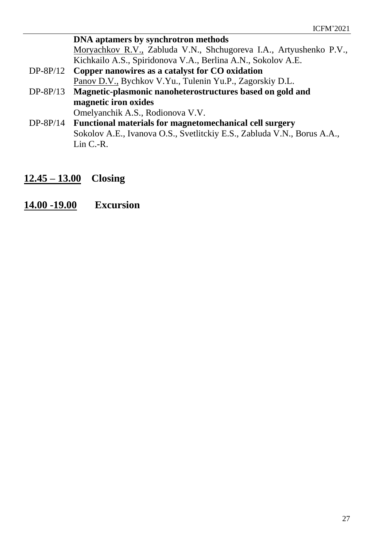**DNA aptamers by synchrotron methods** Moryachkov R.V., Zabluda V.N., Shchugoreva I.A., Artyushenko P.V., Kichkailo A.S., Spiridonova V.A., Berlina A.N., Sokolov A.E. DP-8P/12 **Copper nanowires as a catalyst for CO oxidation** Panov D.V., Bychkov V.Yu., Tulenin Yu.P., Zagorskiy D.L. DP-8P/13 **Magnetic-plasmonic nanoheterostructures based on gold and magnetic iron oxides** Omelyanchik A.S., Rodionova V.V. DP-8P/14 **Functional materials for magnetomechanical cell surgery** Sokolov A.E., Ivanova O.S., Svetlitckiy E.S., Zabluda V.N., Borus A.A., Lin C.-R.

- <span id="page-26-0"></span>**12.45 – 13.00 Closing**
- <span id="page-26-1"></span>**14.00 -19.00 Excursion**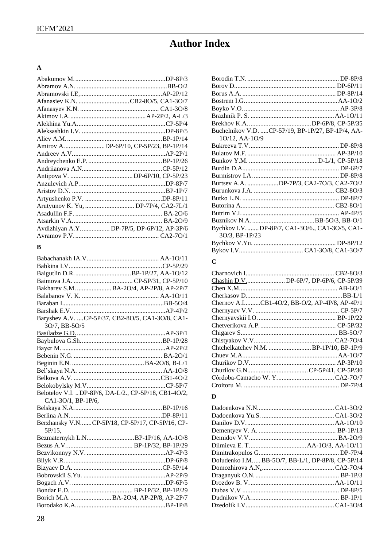### **Author Index**

### $\mathbf{A}$

| Afanasiev K.N. CB2-80/5, CA1-30/7         |
|-------------------------------------------|
|                                           |
|                                           |
|                                           |
|                                           |
|                                           |
| Amirov ADP-6P/10, CP-5P/23, BP-1P/14      |
|                                           |
|                                           |
|                                           |
|                                           |
|                                           |
|                                           |
|                                           |
|                                           |
|                                           |
|                                           |
| Avdizhiyan A.Y DP-7P/5, DP-6P/12, AP-3P/6 |
|                                           |

#### $\, {\bf B}$

|                    | Bakharev S.M.  BA-2O/4, AP-2P/8, AP-2P/7             |
|--------------------|------------------------------------------------------|
|                    |                                                      |
|                    |                                                      |
|                    |                                                      |
|                    | Baryshev A.V.  CP-5P/37, CB2-8O/5, CA1-3O/8, CA1-    |
| 30/7, BB-50/5      |                                                      |
|                    |                                                      |
|                    |                                                      |
|                    |                                                      |
|                    |                                                      |
|                    |                                                      |
|                    |                                                      |
|                    |                                                      |
|                    |                                                      |
|                    | Belotelov V.I. DP-8P/6, DA-L/2., CP-5P/18, CB1-4O/2, |
| CA1-3O/1, BP-1P/6, |                                                      |
|                    |                                                      |
|                    |                                                      |
|                    | Berzhansky V.NCP-5P/18, CP-5P/17, CP-5P/16, CP-      |
| 5P/15,             |                                                      |
|                    | Bezmaternykh L.NBP-1P/16, AA-1O/8                    |
|                    |                                                      |
|                    |                                                      |
|                    |                                                      |
|                    |                                                      |
|                    |                                                      |
|                    |                                                      |
|                    |                                                      |
|                    | Borich M.A.  BA-2O/4, AP-2P/8, AP-2P/7               |
|                    |                                                      |

|                | Buchelnikov V.D. CP-5P/19, BP-1P/27, BP-1P/4, AA- |
|----------------|---------------------------------------------------|
| 10/12, AA-10/9 |                                                   |
|                |                                                   |
|                |                                                   |
|                |                                                   |
|                |                                                   |
|                |                                                   |
|                | Burtsev A.A. DP-7P/3, CA2-7O/3, CA2-7O/2          |
|                |                                                   |
|                |                                                   |
|                |                                                   |
|                |                                                   |
|                |                                                   |
|                | Bychkov I.VDP-8P/7, CA1-3O/6., CA1-3O/5, CA1-     |
| 30/3, BP-1P/23 |                                                   |
|                |                                                   |
|                |                                                   |

### $\mathbf{C}$

| Chashin D.VDP-6P/7, DP-6P/6, CP-5P/39         |
|-----------------------------------------------|
|                                               |
|                                               |
| Chernov A.ICB1-4O/2, BB-O/2, AP-4P/8, AP-4P/1 |
|                                               |
|                                               |
|                                               |
|                                               |
|                                               |
| Chtchelkatchev N.M.  BP-1P/10, BP-1P/9        |
|                                               |
|                                               |
|                                               |
|                                               |
|                                               |

#### $\mathbf{D}$

| Doludenko I.M BB-5O/7, BB-L/1, DP-8P/8, CP-5P/14 |  |
|--------------------------------------------------|--|
|                                                  |  |
|                                                  |  |
|                                                  |  |
|                                                  |  |
|                                                  |  |
|                                                  |  |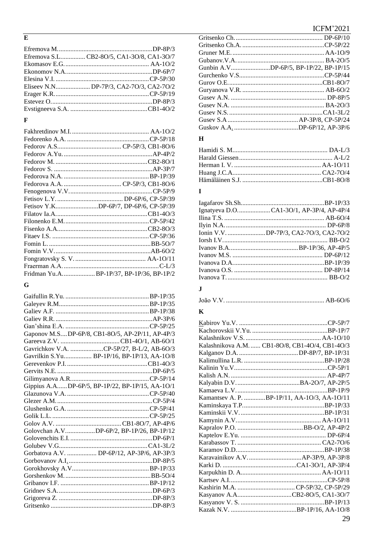#### $\overline{\mathbf{E}}$

| Efremova S.LCB2-80/5, CA1-30/8, CA1-30/7 |
|------------------------------------------|
|                                          |
|                                          |
|                                          |
| Eliseev N.NDP-7P/3, CA2-7O/3, CA2-7O/2   |
|                                          |
|                                          |
|                                          |
|                                          |

### $\mathbf{F}$

| Fetisov Y.KDP-6P/7, DP-6P/6, CP-5P/39   |
|-----------------------------------------|
|                                         |
|                                         |
|                                         |
|                                         |
|                                         |
|                                         |
|                                         |
|                                         |
| Fridman Yu.ABP-1P/37, BP-1P/36, BP-1P/2 |
|                                         |

### $\bf G$

| Gaponov M.SDP-6P/8, CB1-8O/5, AP-2P/11, AP-4P/3 |  |
|-------------------------------------------------|--|
|                                                 |  |
| Gavrichkov V.A. CP-5P/27, B-L/2, AB-6O/3        |  |
| Gavrilkin S.Yu BP-1P/16, BP-1P/13, AA-1O/8      |  |
|                                                 |  |
|                                                 |  |
|                                                 |  |
| Gippius A.ADP-6P/5, BP-1P/22, BP-1P/15, AA-1O/1 |  |
|                                                 |  |
|                                                 |  |
|                                                 |  |
|                                                 |  |
|                                                 |  |
| Golovchan A.VDP-6P/2, BP-1P/26, BP-1P/12        |  |
|                                                 |  |
|                                                 |  |
| Gorbatova A.V.  DP-6P/12, AP-3P/6, AP-3P/3      |  |
|                                                 |  |
|                                                 |  |
|                                                 |  |
|                                                 |  |
|                                                 |  |
|                                                 |  |
|                                                 |  |

### **ICFM'2021**

| Gunbin A.VDP-6P/5, BP-1P/22, BP-1P/15 |
|---------------------------------------|
|                                       |
|                                       |
|                                       |
|                                       |
|                                       |
|                                       |
|                                       |
|                                       |

### $\mathbf{H}$

### $\mathbf I$

| Ignatyeva D.OCA1-3O/1, AP-3P/4, AP-4P/4 |
|-----------------------------------------|
|                                         |
|                                         |
| Ionin V.V. DP-7P/3, CA2-7O/3, CA2-7O/2  |
|                                         |
|                                         |
|                                         |
|                                         |
|                                         |
|                                         |

### $\mathbf J$

### $\mathbf K$

| Kalashnikova A.M.  CB1-8O/8, CB1-4O/4, CB1-4O/3 |
|-------------------------------------------------|
|                                                 |
|                                                 |
|                                                 |
|                                                 |
|                                                 |
|                                                 |
| Kamantsev A. P. BP-1P/11, AA-1O/3, AA-1O/11     |
|                                                 |
|                                                 |
|                                                 |
|                                                 |
|                                                 |
|                                                 |
|                                                 |
|                                                 |
|                                                 |
|                                                 |
|                                                 |
|                                                 |
| Kasyanov A.ACB2-8O/5, CA1-3O/7                  |
|                                                 |
|                                                 |
| 29                                              |
|                                                 |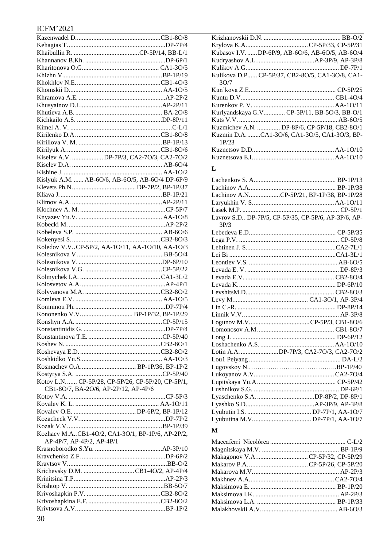### **ICFM'2021**

| Kiselev A.V. DP-7P/3, CA2-7O/3, CA2-7O/2         |  |
|--------------------------------------------------|--|
|                                                  |  |
|                                                  |  |
| Kislyuk A.M.  AB-6O/6, AB-6O/5, AB-6O/4 DP-6P/9  |  |
|                                                  |  |
|                                                  |  |
|                                                  |  |
|                                                  |  |
|                                                  |  |
|                                                  |  |
|                                                  |  |
|                                                  |  |
| Koledov V.VCP-5P/2, AA-1O/11, AA-1O/10, AA-1O/3  |  |
|                                                  |  |
|                                                  |  |
|                                                  |  |
|                                                  |  |
|                                                  |  |
|                                                  |  |
|                                                  |  |
|                                                  |  |
|                                                  |  |
|                                                  |  |
|                                                  |  |
|                                                  |  |
|                                                  |  |
|                                                  |  |
|                                                  |  |
|                                                  |  |
|                                                  |  |
| Kotov L.N CP-5P/28, CP-5P/26, CP-5P/20, CP-5P/1, |  |
| CB1-8O/7, BA-2O/6, AP-2P/12, AP-4P/6             |  |
|                                                  |  |
|                                                  |  |
|                                                  |  |
|                                                  |  |
|                                                  |  |
| Kozhaev M.ACB1-4O/2, CA1-3O/1, BP-1P/6, AP-2P/2, |  |
| AP-4P/7, AP-4P/2, AP-4P/1                        |  |
|                                                  |  |
|                                                  |  |
|                                                  |  |
| Krichevsky D.M. CB1-4O/2, AP-4P/4                |  |
|                                                  |  |
|                                                  |  |
|                                                  |  |
|                                                  |  |
|                                                  |  |

| Kubasov I.VDP-6P/9, AB-6O/6, AB-6O/5, AB-6O/4        |
|------------------------------------------------------|
|                                                      |
|                                                      |
| Kulikova D.P CP-5P/37, CB2-8O/5, CA1-3O/8, CA1-      |
| 30/7                                                 |
|                                                      |
|                                                      |
|                                                      |
| Kurlyandskaya G.V CP-5P/11, BB-5O/3, BB-O/1          |
|                                                      |
| Kuzmichev A.N.  DP-8P/6, CP-5P/18, CB2-8O/1          |
| Kuzmin D.ACA1-3O/6, CA1-3O/5, CA1-3O/3, BP-<br>1P/23 |
|                                                      |
|                                                      |
| L                                                    |

|      | Lachinov A.NCP-5P/21, BP-1P/38, BP-1P/28              |
|------|-------------------------------------------------------|
|      |                                                       |
|      |                                                       |
|      | Lavrov S.D., DP-7P/5, CP-5P/35, CP-5P/6, AP-3P/6, AP- |
| 3P/3 |                                                       |
|      |                                                       |
|      |                                                       |
|      |                                                       |
|      |                                                       |
|      |                                                       |
|      |                                                       |
|      |                                                       |
|      |                                                       |
|      |                                                       |
|      |                                                       |
|      |                                                       |
|      |                                                       |
|      |                                                       |
|      |                                                       |
|      |                                                       |
|      |                                                       |
|      | Lotin A.A. DP-7P/3, CA2-7O/3, CA2-7O/2                |
|      |                                                       |
|      |                                                       |
|      |                                                       |
|      |                                                       |
|      |                                                       |
|      |                                                       |
|      |                                                       |
|      |                                                       |
|      |                                                       |

#### $\mathbf{M}$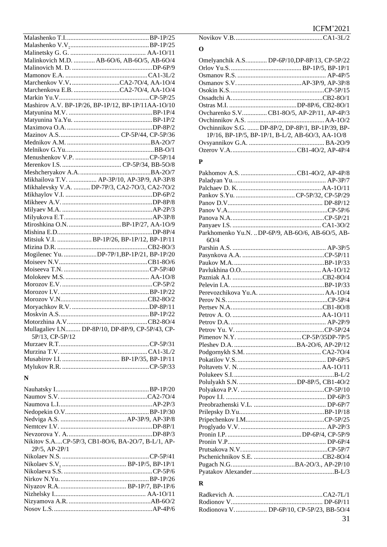|                 | Malinkovich M.D.  AB-6O/6, AB-6O/5, AB-6O/4        |
|-----------------|----------------------------------------------------|
|                 |                                                    |
|                 |                                                    |
|                 |                                                    |
|                 |                                                    |
|                 |                                                    |
|                 | Mashirov A.V. BP-1P/26, BP-1P/12, BP-1P/11AA-1O/10 |
|                 |                                                    |
|                 |                                                    |
|                 |                                                    |
|                 |                                                    |
|                 |                                                    |
|                 |                                                    |
|                 |                                                    |
|                 |                                                    |
|                 |                                                    |
|                 | Mikhailova T.V.  AP-3P/10, AP-3P/9, AP-3P/8        |
|                 | Mikhalevsky V.A.  DP-7P/3, CA2-7O/3, CA2-7O/2      |
|                 |                                                    |
|                 |                                                    |
|                 |                                                    |
|                 |                                                    |
|                 |                                                    |
|                 |                                                    |
|                 |                                                    |
|                 |                                                    |
|                 | Mogilenec Yu. DP-7P/1,BP-1P/21, BP-1P/20           |
|                 |                                                    |
|                 |                                                    |
|                 |                                                    |
|                 |                                                    |
|                 |                                                    |
|                 |                                                    |
|                 |                                                    |
|                 |                                                    |
|                 |                                                    |
|                 | Mullagaliev I.N DP-8P/10, DP-8P/9, CP-5P/43, CP-   |
| 5P/13, CP-5P/12 |                                                    |
|                 |                                                    |
|                 |                                                    |
|                 |                                                    |
|                 |                                                    |

#### $\overline{\mathbf{N}}$

| Nikitov S.ACP-5P/3, CB1-8O/6, BA-2O/7, B-L/1, AP- |  |
|---------------------------------------------------|--|
| $2P/5$ , AP- $2P/1$                               |  |
|                                                   |  |
|                                                   |  |
|                                                   |  |
|                                                   |  |
|                                                   |  |
|                                                   |  |
|                                                   |  |
|                                                   |  |
|                                                   |  |

#### 

#### $\overline{O}$

| Omelyanchik A.S DP-6P/10, DP-8P/13, CP-5P/22                       |
|--------------------------------------------------------------------|
|                                                                    |
|                                                                    |
|                                                                    |
|                                                                    |
|                                                                    |
|                                                                    |
| Ovcharenko S.VCB1-8O/5, AP-2P/11, AP-4P/3                          |
|                                                                    |
| Ovchinnikov S.G.  DP-8P/2, DP-8P/1, BP-1P/39, BP-                  |
| $1P/16$ , BP- $1P/5$ , BP- $1P/1$ , B-L/2, AB- $6O/3$ , AA- $1O/8$ |
|                                                                    |
|                                                                    |
|                                                                    |

#### $\mathbf{P}$

| Parkhomenko Yu.N.  DP-6P/9, AB-6O/6, AB-6O/5, AB- |  |
|---------------------------------------------------|--|
| 6O/4                                              |  |
|                                                   |  |
|                                                   |  |
|                                                   |  |
|                                                   |  |
|                                                   |  |
|                                                   |  |
|                                                   |  |
|                                                   |  |
|                                                   |  |
|                                                   |  |
|                                                   |  |
|                                                   |  |
|                                                   |  |
|                                                   |  |
|                                                   |  |
|                                                   |  |
|                                                   |  |
|                                                   |  |
|                                                   |  |
|                                                   |  |
|                                                   |  |
|                                                   |  |
|                                                   |  |
|                                                   |  |
|                                                   |  |
|                                                   |  |
|                                                   |  |
|                                                   |  |
|                                                   |  |
|                                                   |  |
|                                                   |  |

### $\mathbf R$

| Rodionova V DP-6P/10, CP-5P/23, BB-5O/4 |
|-----------------------------------------|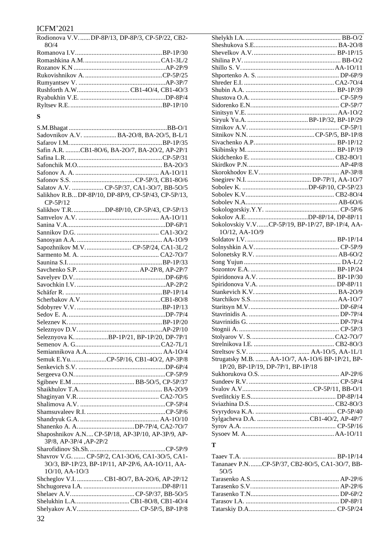## $\frac{ICFM'2021}{Rodionova VV}$

|      | Rodionova V.VDP-8P/13, DP-8P/3, CP-5P/22, CB2- | Shelykh I.A. |
|------|------------------------------------------------|--------------|
| 8O/4 |                                                | Sheshukova   |
|      |                                                | Shevelkov A  |
|      |                                                | Shilina P.V. |
|      |                                                | Shillo S.V   |
|      |                                                | Shportenko   |
|      |                                                | Shreder E.I. |
|      | Rushforth A.WCB1-4O/4, CB1-4O/3                | Shubin A.A.  |
|      |                                                | Shustova O.  |
|      |                                                | Sidorenko E  |
|      |                                                |              |

#### $S$

| Sadovnikov A.V.  BA-2O/8, BA-2O/5, B-L/1           |  |
|----------------------------------------------------|--|
|                                                    |  |
| Safin A.R. CB1-8O/6, BA-2O/7, BA-2O/2, AP-2P/1     |  |
|                                                    |  |
|                                                    |  |
|                                                    |  |
|                                                    |  |
| Salatov A.V.  CP-5P/37, CA1-3O/7, BB-5O/5          |  |
| Salikhov R.BDP-8P/10, DP-8P/9, CP-5P/43, CP-5P/13, |  |
| $CP-5P/12$                                         |  |
| Salikhov T.R. DP-8P/10, CP-5P/43, CP-5P/13         |  |
|                                                    |  |
|                                                    |  |
|                                                    |  |
|                                                    |  |
| Sapozhnikov M.V CP-5P/24, CA1-3L/2                 |  |
|                                                    |  |
|                                                    |  |
|                                                    |  |
|                                                    |  |
|                                                    |  |
|                                                    |  |
|                                                    |  |
|                                                    |  |
|                                                    |  |
|                                                    |  |
|                                                    |  |
|                                                    |  |
| Seleznyova KBP-1P/21, BP-1P/20, DP-7P/1            |  |
|                                                    |  |
|                                                    |  |
| Semuk E.YuCP-5P/16, CB1-4O/2, AP-3P/8              |  |
|                                                    |  |
|                                                    |  |
|                                                    |  |
|                                                    |  |
|                                                    |  |
|                                                    |  |
|                                                    |  |
|                                                    |  |
|                                                    |  |
| Shaposhnikov A.N CP-5P/18, AP-3P/10, AP-3P/9, AP-  |  |
| 3P/8, AP-3P/4, AP-2P/2                             |  |
|                                                    |  |
| Shavrov V.G.  CP-5P/2, CA1-3O/6, CA1-3O/5, CA1-    |  |
| 3O/3, BP-1P/23, BP-1P/11, AP-2P/6, AA-1O/11, AA-   |  |
| 10/10, AA-10/3                                     |  |
| Shcheglov V.I.  CB1-8O/7, BA-2O/6, AP-2P/12        |  |
|                                                    |  |
|                                                    |  |
|                                                    |  |
|                                                    |  |
|                                                    |  |
|                                                    |  |

| Sokolovskiy V.VCP-5P/19, BP-1P/27, BP-1P/4, AA- |  |
|-------------------------------------------------|--|
| 10/12, AA-10/9                                  |  |
|                                                 |  |
|                                                 |  |
|                                                 |  |
|                                                 |  |
|                                                 |  |
|                                                 |  |
|                                                 |  |
|                                                 |  |
|                                                 |  |
|                                                 |  |
|                                                 |  |
|                                                 |  |
|                                                 |  |
|                                                 |  |
|                                                 |  |
|                                                 |  |
|                                                 |  |
|                                                 |  |
| Strugatsky M.B.  AA-1O/7, AA-1O/6 BP-1P/21, BP- |  |
| 1P/20, BP-1P/19, DP-7P/1, BP-1P/18              |  |
|                                                 |  |
|                                                 |  |
|                                                 |  |
|                                                 |  |
|                                                 |  |
|                                                 |  |
| Sylgacheva D.A. CB1-4O/2, AP-4P/7               |  |
|                                                 |  |
|                                                 |  |

| Tananaev P.NCP-5P/37. CB2-8O/5. CA1-3O/7. BB- |  |
|-----------------------------------------------|--|
| 50/5                                          |  |
|                                               |  |
|                                               |  |
|                                               |  |
|                                               |  |
|                                               |  |
|                                               |  |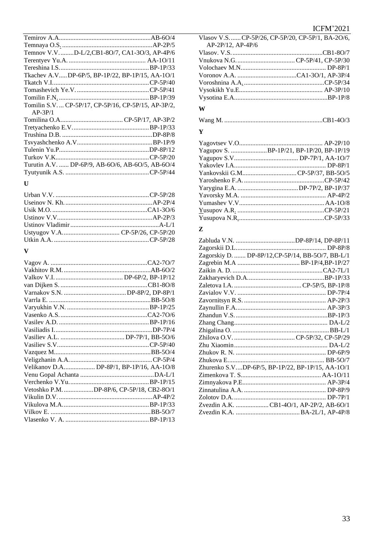**ICFM'2021** 

| Temnov V.VD-L/2,CB1-8O/7, CA1-3O/3, AP-4P/6        |  |
|----------------------------------------------------|--|
|                                                    |  |
|                                                    |  |
| Tkachev A.VDP-6P/5, BP-1P/22, BP-1P/15, AA-1O/1    |  |
|                                                    |  |
|                                                    |  |
|                                                    |  |
| Tomilin S.V CP-5P/17, CP-5P/16, CP-5P/15, AP-3P/2, |  |
| $AP-3P/1$                                          |  |
|                                                    |  |
|                                                    |  |
|                                                    |  |
|                                                    |  |
|                                                    |  |
|                                                    |  |
| Turutin A.V.  DP-6P/9, AB-6O/6, AB-6O/5, AB-6O/4   |  |
|                                                    |  |
|                                                    |  |

#### $\mathbf{U}$

#### $\overline{\mathbf{V}}$

| Vetoshko P.M. DP-8P/6, CP-5P/18, CB2-8O/1 |
|-------------------------------------------|
|                                           |
|                                           |
|                                           |
|                                           |

Vlasov V.S. ...... CP-5P/26, CP-5P/20, CP-5P/1, BA-2O/6, AP-2P/12, AP-4P/6 

#### W

#### $\mathbf{Y}$

| Yagupov S. BP-1P/21, BP-1P/20, BP-1P/19 |
|-----------------------------------------|
|                                         |
|                                         |
|                                         |
|                                         |
|                                         |
|                                         |
|                                         |
|                                         |
|                                         |

#### $\mathbf{Z}$

| Zagorskiy D.  DP-8P/12, CP-5P/14, BB-5O/7, BB-L/1 |
|---------------------------------------------------|
|                                                   |
|                                                   |
|                                                   |
|                                                   |
|                                                   |
|                                                   |
|                                                   |
|                                                   |
|                                                   |
|                                                   |
|                                                   |
|                                                   |
|                                                   |
|                                                   |
| Zhurenko S.VDP-6P/5, BP-1P/22, BP-1P/15, AA-1O/1  |
|                                                   |
|                                                   |
|                                                   |
|                                                   |
| Zvezdin A.K. CB1-4O/1, AP-2P/2, AB-6O/1           |
|                                                   |